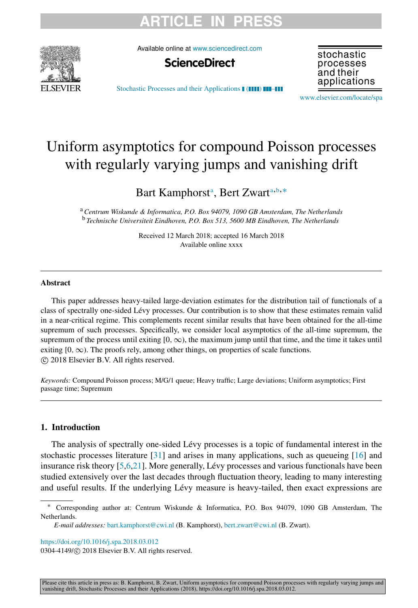# **RTICLE**



Available online at [www.sciencedirect.com](http://www.elsevier.com/locate/spa)



stochastic processes and their applications

[Stochastic Processes and their Applications](https://doi.org/10.1016/j.spa.2018.03.012) (**1111**) **HI-HI** 

[www.elsevier.com/locate/spa](http://www.elsevier.com/locate/spa)

# Uniform asymptotics for compound Poisson processes with regularly varying jumps and vanishing drift

B[a](#page-0-0)rt Kamphorst<sup>a</sup>, Bert Zwart<sup>a,[b](#page-0-1),\*</sup>

<span id="page-0-1"></span><span id="page-0-0"></span><sup>a</sup>*Centrum Wiskunde & Informatica, P.O. Box 94079, 1090 GB Amsterdam, The Netherlands* <sup>b</sup> *Technische Universiteit Eindhoven, P.O. Box 513, 5600 MB Eindhoven, The Netherlands*

> Received 12 March 2018; accepted 16 March 2018 Available online xxxx

## Abstract

This paper addresses heavy-tailed large-deviation estimates for the distribution tail of functionals of a class of spectrally one-sided Lévy processes. Our contribution is to show that these estimates remain valid in a near-critical regime. This complements recent similar results that have been obtained for the all-time supremum of such processes. Specifically, we consider local asymptotics of the all-time supremum, the supremum of the process until exiting  $[0, \infty)$ , the maximum jump until that time, and the time it takes until exiting  $[0, \infty)$ . The proofs rely, among other things, on properties of scale functions. ⃝c 2018 Elsevier B.V. All rights reserved.

*Keywords:* Compound Poisson process; M/G/1 queue; Heavy traffic; Large deviations; Uniform asymptotics; First passage time; Supremum

## 1. Introduction

The analysis of spectrally one-sided Lévy processes is a topic of fundamental interest in the stochastic processes literature [\[31\]](#page-31-0) and arises in many applications, such as queueing [\[16\]](#page-30-0) and insurance risk theory [\[5](#page-30-1)[,6](#page-30-2)[,21\]](#page-30-3). More generally, Lévy processes and various functionals have been studied extensively over the last decades through fluctuation theory, leading to many interesting and useful results. If the underlying Lévy measure is heavy-tailed, then exact expressions are

<https://doi.org/10.1016/j.spa.2018.03.012>

0304-4149/© 2018 Elsevier B.V. All rights reserved.

<span id="page-0-2"></span><sup>∗</sup> Corresponding author at: Centrum Wiskunde & Informatica, P.O. Box 94079, 1090 GB Amsterdam, The **Netherlands**.

*E-mail addresses:* [bart.kamphorst@cwi.nl](mailto:bart.kamphorst@cwi.nl) (B. Kamphorst), [bert.zwart@cwi.nl](mailto:bert.zwart@cwi.nl) (B. Zwart).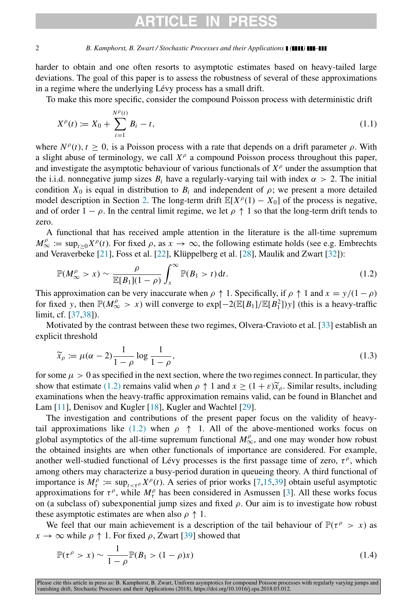# ARTICLF IN P

#### 2 *B. Kamphorst, B. Zwart / Stochastic Processes and their Applications ( ) –*

harder to obtain and one often resorts to asymptotic estimates based on heavy-tailed large deviations. The goal of this paper is to assess the robustness of several of these approximations in a regime where the underlying Lévy process has a small drift.

To make this more specific, consider the compound Poisson process with deterministic drift

$$
X^{\rho}(t) := X_0 + \sum_{i=1}^{N^{\rho}(t)} B_i - t,
$$
\n(1.1)

where  $N^{\rho}(t)$ ,  $t \ge 0$ , is a Poisson process with a rate that depends on a drift parameter  $\rho$ . With a slight abuse of terminology, we call  $X^{\rho}$  a compound Poisson process throughout this paper, and investigate the asymptotic behaviour of various functionals of  $X^{\rho}$  under the assumption that the i.i.d. nonnegative jump sizes  $B_i$  have a regularly-varying tail with index  $\alpha > 2$ . The initial condition  $X_0$  is equal in distribution to  $B_i$  and independent of  $\rho$ ; we present a more detailed model description in Section [2.](#page-2-0) The long-term drift  $\mathbb{E}[X^{\rho}(1) - X_0]$  of the process is negative, and of order  $1 - \rho$ . In the central limit regime, we let  $\rho \uparrow 1$  so that the long-term drift tends to zero.

A functional that has received ample attention in the literature is the all-time supremum  $M^{\rho}_{\infty} := \sup_{t \geq 0} X^{\rho}(t)$ . For fixed  $\rho$ , as  $x \to \infty$ , the following estimate holds (see e.g. Embrechts and Veraverbeke  $[21]$ , Foss et al.  $[22]$ , Klüppelberg et al.  $[28]$  $[28]$ , Maulik and Zwart  $[32]$ ):

<span id="page-1-0"></span>
$$
\mathbb{P}(M_{\infty}^{\rho} > x) \sim \frac{\rho}{\mathbb{E}[B_1](1-\rho)} \int_x^{\infty} \mathbb{P}(B_1 > t) dt.
$$
\n(1.2)

This approximation can be very inaccurate when  $\rho \uparrow 1$ . Specifically, if  $\rho \uparrow 1$  and  $x = y/(1 - \rho)$ for fixed *y*, then  $\mathbb{P}(M_{\infty}^{\rho} > x)$  will converge to  $\exp[-2(\mathbb{E}[B_1]/\mathbb{E}[B_1^2])y]$  (this is a heavy-traffic limit, cf. [\[37,](#page-31-2)[38\]](#page-31-3)).

Motivated by the contrast between these two regimes, Olvera-Cravioto et al. [\[33\]](#page-31-4) establish an explicit threshold

<span id="page-1-1"></span>
$$
\widetilde{x}_{\rho} := \mu(\alpha - 2) \frac{1}{1 - \rho} \log \frac{1}{1 - \rho},\tag{1.3}
$$

for some  $\mu > 0$  as specified in the next section, where the two regimes connect. In particular, they show that estimate [\(1.2\)](#page-1-0) remains valid when  $\rho \uparrow 1$  and  $x \geq (1 + \varepsilon)\tilde{x}_{\rho}$ . Similar results, including examinations when the heavy-traffic approximation remains valid, can be found in Blanchet and Lam [\[11\]](#page-30-6), Denisov and Kugler [\[18\]](#page-30-7), Kugler and Wachtel [\[29\]](#page-30-8).

The investigation and contributions of the present paper focus on the validity of heavy-tail approximations like [\(1.2\)](#page-1-0) when  $\rho \uparrow 1$ . All of the above-mentioned works focus on global asymptotics of the all-time supremum functional  $M^{\rho}_{\infty}$ , and one may wonder how robust the obtained insights are when other functionals of importance are considered. For example, another well-studied functional of Lévy processes is the first passage time of zero,  $\tau^{\rho}$ , which among others may characterize a busy-period duration in queueing theory. A third functional of importance is  $M_t^{\rho} := \sup_{t \leq t^{\rho}} X^{\rho}(t)$ . A series of prior works [\[7,](#page-30-9)[15,](#page-30-10)[39\]](#page-31-5) obtain useful asymptotic approximations for  $\tau^{\rho}$ , while  $M_{\tau}^{\rho}$  has been considered in Asmussen [\[3\]](#page-30-11). All these works focus on (a subclass of) subexponential jump sizes and fixed  $\rho$ . Our aim is to investigate how robust these asymptotic estimates are when also  $\rho \uparrow 1$ .

We feel that our main achievement is a description of the tail behaviour of  $\mathbb{P}(\tau^{\rho} > x)$  as  $x \to \infty$  while  $\rho \uparrow 1$ . For fixed  $\rho$ , Zwart [\[39\]](#page-31-5) showed that

$$
\mathbb{P}(\tau^{\rho} > x) \sim \frac{1}{1 - \rho} \mathbb{P}(B_1 > (1 - \rho)x)
$$
\n(1.4)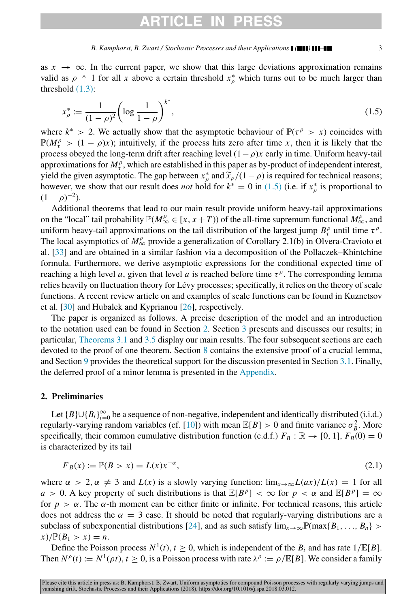## ARTICLE IN

<span id="page-2-1"></span>
$$
x_{\rho}^* := \frac{1}{(1-\rho)^2} \left( \log \frac{1}{1-\rho} \right)^{k^*},\tag{1.5}
$$

where  $k^* > 2$ . We actually show that the asymptotic behaviour of  $\mathbb{P}(\tau^{\rho} > x)$  coincides with  $\mathbb{P}(M_t^{\rho} > (1 - \rho)x)$ ; intuitively, if the process hits zero after time *x*, then it is likely that the process obeyed the long-term drift after reaching level  $(1-\rho)x$  early in time. Uniform heavy-tail approximations for  $M_t^{\rho}$ , which are established in this paper as by-product of independent interest, yield the given asymptotic. The gap between  $x^*_{\rho}$  and  $\tilde{x}_{\rho}/(1-\rho)$  is required for technical reasons;<br>however we show that our result does not hold for  $k^* = 0$  in (1.5) (i.e. if  $x^*$  is proportional to however, we show that our result does *not* hold for  $k^* = 0$  in [\(1.5\)](#page-2-1) (i.e. if  $x^*_{\rho}$  is proportional to  $(1 - \rho)^{-2}$ ).

Additional theorems that lead to our main result provide uniform heavy-tail approximations on the "local" tail probability  $\mathbb{P}(M^{\rho}_{\infty} \in [x, x+T))$  of the all-time supremum functional  $M^{\rho}_{\infty}$ , and uniform heavy-tail approximations on the tail distribution of the largest jump  $B_t^{\rho}$  until time  $\tau^{\rho}$ . The local asymptotics of  $M_{\infty}^{\rho}$  provide a generalization of Corollary 2.1(b) in Olvera-Cravioto et al. [\[33\]](#page-31-4) and are obtained in a similar fashion via a decomposition of the Pollaczek–Khintchine formula. Furthermore, we derive asymptotic expressions for the conditional expected time of reaching a high level *a*, given that level *a* is reached before time  $\tau^{\rho}$ . The corresponding lemma relies heavily on fluctuation theory for Lévy processes; specifically, it relies on the theory of scale functions. A recent review article on and examples of scale functions can be found in Kuznetsov et al. [\[30\]](#page-30-12) and Hubalek and Kyprianou [\[26\]](#page-30-13), respectively.

The paper is organized as follows. A precise description of the model and an introduction to the notation used can be found in Section [2.](#page-2-0) Section [3](#page-3-0) presents and discusses our results; in particular, [Theorems 3.1](#page-4-0) and [3.5](#page-5-0) display our main results. The four subsequent sections are each devoted to the proof of one theorem. Section [8](#page-21-0) contains the extensive proof of a crucial lemma, and Section [9](#page-27-0) provides the theoretical support for the discussion presented in Section [3.1.](#page-5-1) Finally, the deferred proof of a minor lemma is presented in the [Appendix.](#page-29-0)

## <span id="page-2-0"></span>2. Preliminaries

Let  ${B} \cup {B_i}_{i=0}^{\infty}$  be a sequence of non-negative, independent and identically distributed (i.i.d.) regularly-varying random variables (cf. [\[10\]](#page-30-14)) with mean  $\mathbb{E}[B] > 0$  and finite variance  $\sigma_B^2$ . More specifically, their common cumulative distribution function (c.d.f.)  $F_B : \mathbb{R} \to [0, 1]$ ,  $F_B(0) = 0$ is characterized by its tail

$$
\overline{F}_B(x) := \mathbb{P}(B > x) = L(x)x^{-\alpha},\tag{2.1}
$$

where  $\alpha > 2$ ,  $\alpha \neq 3$  and  $L(x)$  is a slowly varying function:  $\lim_{x\to\infty} L(ax)/L(x) = 1$  for all *a* > 0. A key property of such distributions is that  $\mathbb{E}[B^p] < \infty$  for  $p < \alpha$  and  $\mathbb{E}[B^p] = \infty$ for  $p > \alpha$ . The  $\alpha$ -th moment can be either finite or infinite. For technical reasons, this article does not address the  $\alpha = 3$  case. It should be noted that regularly-varying distributions are a subclass of subexponential distributions [\[24\]](#page-30-15), and as such satisfy  $\lim_{x\to\infty} \mathbb{P}(\max\{B_1, \ldots, B_n\} >$  $x)/\mathbb{P}(B_1 > x) = n.$ 

Define the Poisson process  $N^1(t)$ ,  $t \ge 0$ , which is independent of the  $B_i$  and has rate  $1/\mathbb{E}[B]$ . Then  $N^{\rho}(t) := N^{\rho}(0,t)$ ,  $t \geq 0$ , is a Poisson process with rate  $\lambda^{\rho} := \rho / \mathbb{E}[B]$ . We consider a family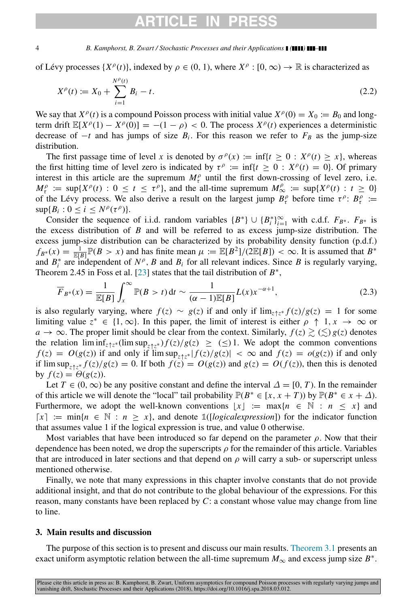# **ARTICLE IN P**

#### 4 *B. Kamphorst, B. Zwart / Stochastic Processes and their Applications ( ) –*

of Lévy processes  $\{X^{\rho}(t)\}\$ , indexed by  $\rho \in (0, 1)$ , where  $X^{\rho} : [0, \infty) \to \mathbb{R}$  is characterized as

$$
X^{\rho}(t) := X_0 + \sum_{i=1}^{N^{\rho}(t)} B_i - t.
$$
\n(2.2)

We say that  $X^{\rho}(t)$  is a compound Poisson process with initial value  $X^{\rho}(0) = X_0 := B_0$  and longterm drift  $\mathbb{E}[X^{\rho}(1) - X^{\rho}(0)] = -(1 - \rho) < 0$ . The process  $X^{\rho}(t)$  experiences a deterministic decrease of  $-t$  and has jumps of size  $B_i$ . For this reason we refer to  $F_B$  as the jump-size distribution.

The first passage time of level *x* is denoted by  $\sigma^{\rho}(x) := \inf\{t \ge 0 : X^{\rho}(t) \ge x\}$ , whereas the first hitting time of level zero is indicated by  $\tau^{\rho} := \inf\{t \ge 0 : X^{\rho}(t) = 0\}$ . Of primary interest in this article are the supremum  $M_t^{\rho}$  until the first down-crossing of level zero, i.e.  $M_t^{\rho} := \sup\{X^{\rho}(t) : 0 \le t \le \tau^{\rho}\}\$ , and the all-time supremum  $M_{\infty}^{\rho} := \sup\{X^{\rho}(t) : t \ge 0\}$ of the Lévy process. We also derive a result on the largest jump  $B_r^{\rho}$  before time  $\tau^{\rho}$ :  $B_r^{\rho}$  :=  $\sup\{B_i: 0 \le i \le N^{\rho}(\tau^{\rho})\}.$ 

Consider the sequence of i.i.d. random variables  ${B^*}$   $\cup$   ${B^*_{i}}_{i=1}^{\infty}$  with c.d.f.  $F_{B^*}$ .  $F_{B^*}$  is the excess distribution of *B* and will be referred to as excess jump-size distribution. The excess jump-size distribution can be characterized by its probability density function (p.d.f.)  $f_{B^*}(x) = \frac{1}{\mathbb{E}[B]} \mathbb{P}(B > x)$  and has finite mean  $\mu := \mathbb{E}[B^2]/(2\mathbb{E}[B]) < \infty$ . It is assumed that  $B^*$ and  $B_i^*$  are independent of  $N^{\rho}$ , *B* and  $B_i$  for all relevant indices. Since *B* is regularly varying, Theorem 2.45 in Foss et al. [\[23\]](#page-30-16) states that the tail distribution of  $B^*$ ,

$$
\overline{F}_{B^*}(x) = \frac{1}{\mathbb{E}[B]} \int_x^{\infty} \mathbb{P}(B > t) dt \sim \frac{1}{(\alpha - 1)\mathbb{E}[B]} L(x) x^{-\alpha + 1},
$$
\n(2.3)

is also regularly varying, where  $f(z) \sim g(z)$  if and only if  $\lim_{z \uparrow z^*} f(z)/g(z) = 1$  for some limiting value  $z^* \in \{1, \infty\}$ . In this paper, the limit of interest is either  $\rho \uparrow 1, x \to \infty$  or *a* → ∞. The proper limit should be clear from the context. Similarly,  $f(z) \gtrsim (\lesssim) g(z)$  denotes the relation  $\liminf_{z \uparrow z^*} (\limsup_{z \uparrow z^*}) f(z)/g(z) \geq (\leq) 1$ . We adopt the common conventions  $f(z) = O(g(z))$  if and only if  $\limsup_{z \uparrow z^*} |f(z)/g(z)| < \infty$  and  $f(z) = o(g(z))$  if and only if  $\limsup_{z \uparrow z^*} f(z)/g(z) = 0$ . If both  $f(z) = O(g(z))$  and  $g(z) = O(f(z))$ , then this is denoted by  $f(z) = \Theta(g(z))$ .

Let *T* ∈ (0, ∞) be any positive constant and define the interval  $\Delta = [0, T)$ . In the remainder of this article we will denote the "local" tail probability  $\mathbb{P}(B^* \in [x, x + T))$  by  $\mathbb{P}(B^* \in x + \Delta)$ . Furthermore, we adopt the well-known conventions  $|x| := \max\{n \in \mathbb{N} : n \leq x\}$  and  $\lceil x \rceil$  := min{ $n \in \mathbb{N}$  :  $n \geq x$ }, and denote  $\mathbb{1}$ ([*logicalexpression*]) for the indicator function that assumes value 1 if the logical expression is true, and value 0 otherwise.

Most variables that have been introduced so far depend on the parameter  $\rho$ . Now that their dependence has been noted, we drop the superscripts  $\rho$  for the remainder of this article. Variables that are introduced in later sections and that depend on  $\rho$  will carry a sub- or superscript unless mentioned otherwise.

Finally, we note that many expressions in this chapter involve constants that do not provide additional insight, and that do not contribute to the global behaviour of the expressions. For this reason, many constants have been replaced by *C*: a constant whose value may change from line to line.

## <span id="page-3-0"></span>3. Main results and discussion

The purpose of this section is to present and discuss our main results. [Theorem 3.1](#page-4-0) presents an exact uniform asymptotic relation between the all-time supremum  $M_{\infty}$  and excess jump size  $B^*$ .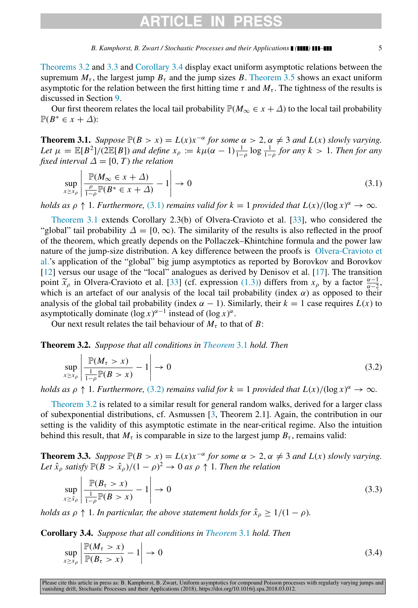## ARTICLE IN

*B. Kamphorst, B. Zwart / Stochastic Processes and their Applications ( ) –* 5

[Theorems 3.2](#page-4-1) and [3.3](#page-4-2) and [Corollary 3.4](#page-4-3) display exact uniform asymptotic relations between the supremum  $M_{\tau}$ , the largest jump  $B_{\tau}$  and the jump sizes *B*. [Theorem 3.5](#page-5-0) shows an exact uniform asymptotic for the relation between the first hitting time  $\tau$  and  $M_{\tau}$ . The tightness of the results is discussed in Section [9.](#page-27-0)

Our first theorem relates the local tail probability  $\mathbb{P}(M_{\infty} \in x + \Delta)$  to the local tail probability  $\mathbb{P}(B^* \in x + \Delta)$ :

<span id="page-4-0"></span>**Theorem 3.1.** *Suppose*  $\mathbb{P}(B > x) = L(x)x^{-\alpha}$  *for some*  $\alpha > 2$ ,  $\alpha \neq 3$  *and*  $L(x)$  *slowly varying. Let*  $\mu = \mathbb{E}[B^2]/(2\mathbb{E}[B])$  *and define*  $x_\rho := k\mu(\alpha - 1)\frac{1}{1-\rho}\log\frac{1}{1-\rho}$  *for any*  $k > 1$ *. Then for any fixed interval*  $\Delta = [0, T)$  *the relation* 

<span id="page-4-4"></span>
$$
\sup_{x \ge x_{\rho}} \left| \frac{\mathbb{P}(M_{\infty} \in x + \Delta)}{\frac{\rho}{1 - \rho} \mathbb{P}(B^* \in x + \Delta)} - 1 \right| \to 0
$$
\n(3.1)

*holds as*  $\rho \uparrow 1$ *. Furthermore,* [\(3.1\)](#page-4-4) *remains valid for*  $k = 1$  *provided that*  $L(x)/(\log x)^{\alpha} \to \infty$ *.* 

[Theorem 3.1](#page-4-0) extends Corollary 2.3(b) of Olvera-Cravioto et al. [\[33\]](#page-31-4), who considered the "global" tail probability  $\Delta = [0, \infty)$ . The similarity of the results is also reflected in the proof of the theorem, which greatly depends on the Pollaczek–Khintchine formula and the power law [n](#page-31-4)ature of the jump-size distribution. A key difference between the proofs is [Olvera-Cravioto et](#page-31-4) [al.'](#page-31-4)s application of the "global" big jump asymptotics as reported by Borovkov and Borovkov [\[12\]](#page-30-17) versus our usage of the "local" analogues as derived by Denisov et al. [\[17\]](#page-30-18). The transition point  $\tilde{x}_{\rho}$  in Olvera-Cravioto et al. [\[33\]](#page-31-4) (cf. expression [\(1.3\)\)](#page-1-1) differs from  $x_{\rho}$  by a factor  $\frac{\alpha-1}{\alpha-2}$ , which is an artefact of our analysis of the local tail probability (index  $\alpha$ ) as opposed to their analysis of the global tail probability (index  $\alpha - 1$ ). Similarly, their  $k = 1$  case requires  $L(x)$  to asymptotically dominate  $(\log x)^{\alpha-1}$  instead of  $(\log x)^{\alpha}$ .

Our next result relates the tail behaviour of  $M<sub>\tau</sub>$  to that of *B*:

<span id="page-4-1"></span>Theorem 3.2. *Suppose that all conditions in [Theorem](#page-4-0)* 3.1 *hold. Then*

<span id="page-4-5"></span>
$$
\sup_{x \ge x_{\rho}} \left| \frac{\mathbb{P}(M_{\tau} > x)}{\frac{1}{1 - \rho} \mathbb{P}(B > x)} - 1 \right| \to 0
$$
\n(3.2)

*holds as*  $\rho \uparrow 1$ *. Furthermore,* [\(3.2\)](#page-4-5) *remains valid for*  $k = 1$  *provided that*  $L(x)/(\log x)^{\alpha} \to \infty$ *.* 

[Theorem 3.2](#page-4-1) is related to a similar result for general random walks, derived for a larger class of subexponential distributions, cf. Asmussen [\[3,](#page-30-11) Theorem 2.1]. Again, the contribution in our setting is the validity of this asymptotic estimate in the near-critical regime. Also the intuition behind this result, that  $M<sub>\tau</sub>$  is comparable in size to the largest jump  $B<sub>\tau</sub>$ , remains valid:

<span id="page-4-2"></span>**Theorem 3.3.** *Suppose*  $\mathbb{P}(B > x) = L(x)x^{-\alpha}$  *for some*  $\alpha > 2$ ,  $\alpha \neq 3$  *and*  $L(x)$  *slowly varying.* Let  $\hat{x}_\rho$  *satisfy*  $\mathbb{P}(B > \hat{x}_\rho)/(1 - \rho)^2 \to 0$  *as*  $\rho \uparrow 1$ *. Then the relation* 

<span id="page-4-7"></span>
$$
\sup_{x \ge \hat{x}_\rho} \left| \frac{\mathbb{P}(B_\tau > x)}{\frac{1}{1 - \rho} \mathbb{P}(B > x)} - 1 \right| \to 0 \tag{3.3}
$$

*holds as*  $\rho \uparrow 1$ *. In particular, the above statement holds for*  $\hat{x}_{\rho} \geq 1/(1 - \rho)$ *.* 

<span id="page-4-3"></span>Corollary 3.4. *Suppose that all conditions in [Theorem](#page-4-0)* 3.1 *hold. Then*

<span id="page-4-6"></span>
$$
\sup_{x \ge x_{\rho}} \left| \frac{\mathbb{P}(M_{\tau} > x)}{\mathbb{P}(B_{\tau} > x)} - 1 \right| \to 0 \tag{3.4}
$$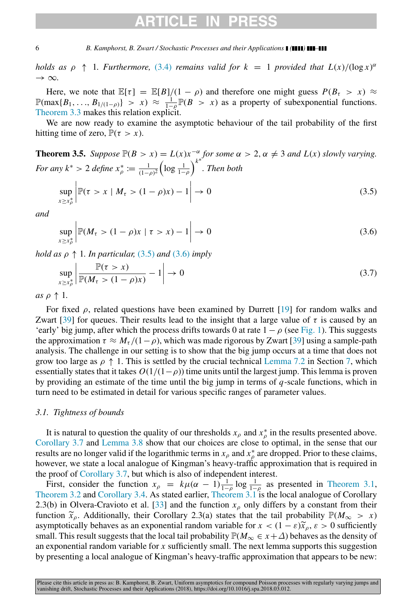# **ARTICLE IN P**

#### 6 *B. Kamphorst, B. Zwart / Stochastic Processes and their Applications ( ) –*

*holds as*  $\rho \uparrow 1$ *. Furthermore,* [\(3.4\)](#page-4-6) *remains valid for*  $k = 1$  *provided that*  $L(x)/(\log x)^{\alpha}$  $\rightarrow \infty$ .

Here, we note that  $\mathbb{E}[\tau] = \mathbb{E}[B]/(1-\rho)$  and therefore one might guess  $P(B_{\tau} > x) \approx$  $\mathbb{P}(\max\{B_1, ..., B_{1/(1-\rho)}\} > x) \approx \frac{1}{1-\rho} \mathbb{P}(B > x)$  as a property of subexponential functions. [Theorem 3.3](#page-4-2) makes this relation explicit.

We are now ready to examine the asymptotic behaviour of the tail probability of the first hitting time of zero,  $\mathbb{P}(\tau > x)$ .

<span id="page-5-0"></span>**Theorem 3.5.** *Suppose*  $\mathbb{P}(B > x) = L(x)x^{-\alpha}$  *for some*  $\alpha > 2$ ,  $\alpha \neq 3$  *and*  $L(x)$  *slowly varying. For any*  $k^* > 2$  *define*  $x^*_{\rho} := \frac{1}{(1-\rho)^2} \left( \log \frac{1}{1-\rho} \right)^{k^*}$ *. Then both* sup *x*≥*x* ∗ ρ  $\begin{array}{c}\n\hline\n\end{array}$  $\mathbb{P}(\tau > x \mid M_{\tau} > (1 - \rho)x) - 1 \Big| \to 0$  (3.5)

<span id="page-5-2"></span>*and*

<span id="page-5-3"></span>
$$
\sup_{x \ge x_{\rho}^*} \left| \mathbb{P}(M_{\tau} > (1 - \rho)x \mid \tau > x) - 1 \right| \to 0 \tag{3.6}
$$

*hold as*  $\rho \uparrow 1$ *. In particular,* [\(3.5\)](#page-5-2) *and* [\(3.6\)](#page-5-3) *imply* 

<span id="page-5-4"></span>
$$
\sup_{x \ge x_{\rho}^*} \left| \frac{\mathbb{P}(\tau > x)}{\mathbb{P}(M_{\tau} > (1 - \rho)x)} - 1 \right| \to 0 \tag{3.7}
$$

*as*  $\rho \uparrow 1$ *.* 

For fixed  $\rho$ , related questions have been examined by Durrett [\[19\]](#page-30-19) for random walks and Zwart [\[39\]](#page-31-5) for queues. Their results lead to the insight that a large value of  $\tau$  is caused by an 'early' big jump, after which the process drifts towards 0 at rate  $1 - \rho$  (see [Fig. 1\)](#page-6-0). This suggests the approximation  $\tau \approx M_{\tau}/(1-\rho)$ , which was made rigorous by Zwart [\[39\]](#page-31-5) using a sample-path analysis. The challenge in our setting is to show that the big jump occurs at a time that does not grow too large as  $\rho \uparrow 1$ . This is settled by the crucial technical [Lemma 7.2](#page-21-1) in Section [7,](#page-13-0) which essentially states that it takes  $O(1/(1-\rho))$  time units until the largest jump. This lemma is proven by providing an estimate of the time until the big jump in terms of *q*-scale functions, which in turn need to be estimated in detail for various specific ranges of parameter values.

### <span id="page-5-1"></span>*3.1. Tightness of bounds*

It is natural to question the quality of our thresholds  $x_\rho$  and  $x_\rho^*$  in the results presented above. [Corollary 3.7](#page-6-1) and [Lemma 3.8](#page-7-0) show that our choices are close to optimal, in the sense that our results are no longer valid if the logarithmic terms in  $x_{\rho}$  and  $x_{\rho}^{*}$  are dropped. Prior to these claims, however, we state a local analogue of Kingman's heavy-traffic approximation that is required in the proof of [Corollary 3.7,](#page-6-1) but which is also of independent interest.

First, consider the function  $x_{\rho} = k\mu(\alpha - 1)\frac{1}{1-\rho}\log\frac{1}{1-\rho}$  as presented in [Theorem 3.1,](#page-4-0) [Theorem 3.2](#page-4-1) and [Corollary 3.4.](#page-4-3) As stated earlier, [Theorem 3.1](#page-4-0) is the local analogue of Corollary 2.3(b) in Olvera-Cravioto et al. [\[33\]](#page-31-4) and the function  $x<sub>ρ</sub>$  only differs by a constant from their function  $\tilde{x}_{\rho}$ . Additionally, their Corollary 2.3(a) states that the tail probability  $\mathbb{P}(M_{\infty} > x)$ asymptotically behaves as an exponential random variable for  $x < (1 - \varepsilon)\tilde{x}_\rho, \varepsilon > 0$  sufficiently small. This result suggests that the local tail probability  $\mathbb{P}(M_{\infty} \in x + \Delta)$  behaves as the density of an exponential random variable for *x* sufficiently small. The next lemma supports this suggestion by presenting a local analogue of Kingman's heavy-traffic approximation that appears to be new: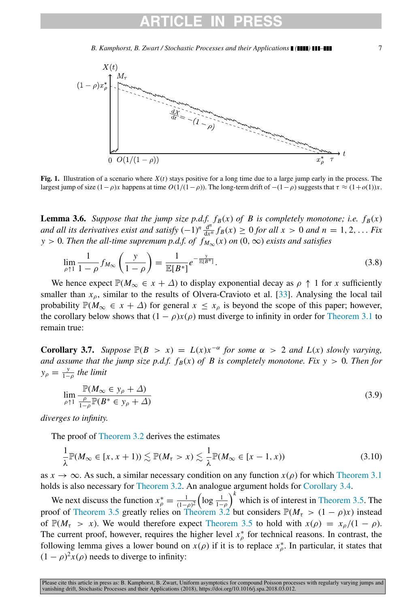<span id="page-6-0"></span>

Fig. 1. Illustration of a scenario where  $X(t)$  stays positive for a long time due to a large jump early in the process. The largest jump of size  $(1-\rho)x$  happens at time  $O(1/(1-\rho))$ . The long-term drift of  $-(1-\rho)$  suggests that  $\tau \approx (1+\rho(1))x$ .

<span id="page-6-2"></span>**Lemma 3.6.** *Suppose that the jump size p.d.f.*  $f_B(x)$  *of B is completely monotone; i.e.*  $f_B(x)$ *and all its derivatives exist and satisfy*  $(-1)^n \frac{d^n}{dx^n}$  $\frac{d^n}{dx^n} f_B(x) \ge 0$  *for all x* > 0 *and n* = 1, 2, ... *Fix y* > 0*. Then the all-time supremum p.d.f. of*  $f_{M_{\infty}}(x)$  *on* (0,  $\infty$ ) *exists and satisfies* 

<span id="page-6-3"></span>
$$
\lim_{\rho \uparrow 1} \frac{1}{1 - \rho} f_{M_{\infty}} \left( \frac{y}{1 - \rho} \right) = \frac{1}{\mathbb{E}[B^*]} e^{-\frac{y}{\mathbb{E}[B^*]}}.
$$
\n(3.8)

We hence expect  $\mathbb{P}(M_{\infty} \in x + \Delta)$  to display exponential decay as  $\rho \uparrow 1$  for *x* sufficiently smaller than  $x<sub>0</sub>$ , similar to the results of Olvera-Cravioto et al. [\[33\]](#page-31-4). Analysing the local tail probability  $\mathbb{P}(M_{\infty} \in x + \Delta)$  for general  $x \leq x_{\rho}$  is beyond the scope of this paper; however, the corollary below shows that  $(1 - \rho)x(\rho)$  must diverge to infinity in order for [Theorem 3.1](#page-4-0) to remain true:

<span id="page-6-1"></span>**Corollary 3.7.** Suppose  $\mathbb{P}(B > x) = L(x)x^{-\alpha}$  for some  $\alpha > 2$  and  $L(x)$  slowly varying, *and assume that the jump size p.d.f.*  $f_B(x)$  *of B is completely monotone. Fix y* > 0*. Then for*  $y_{\rho} = \frac{y}{1-\rho}$  the limit

$$
\lim_{\rho \uparrow 1} \frac{\mathbb{P}(M_{\infty} \in y_{\rho} + \Delta)}{\frac{\rho}{1 - \rho} \mathbb{P}(B^* \in y_{\rho} + \Delta)} \tag{3.9}
$$

*diverges to infinity.*

The proof of [Theorem 3.2](#page-4-1) derives the estimates

$$
\frac{1}{\lambda} \mathbb{P}(M_{\infty} \in [x, x+1)) \lesssim \mathbb{P}(M_{\tau} > x) \lesssim \frac{1}{\lambda} \mathbb{P}(M_{\infty} \in [x-1, x))
$$
\n(3.10)

as  $x \to \infty$ . As such, a similar necessary condition on any function  $x(\rho)$  for which [Theorem 3.1](#page-4-0) holds is also necessary for [Theorem 3.2.](#page-4-1) An analogue argument holds for [Corollary 3.4.](#page-4-3)

We next discuss the function  $x_{\rho}^* = \frac{1}{(1-\rho)^2} \left( \log \frac{1}{1-\rho} \right)^k$  which is of interest in [Theorem 3.5.](#page-5-0) The proof of [Theorem 3.5](#page-5-0) greatly relies on [Theorem 3.2](#page-4-1) but considers  $\mathbb{P}(M_\tau > (1 - \rho)x)$  instead of  $\mathbb{P}(M_\tau > x)$ . We would therefore expect [Theorem 3.5](#page-5-0) to hold with  $x(\rho) = x_\rho/(1 - \rho)$ . The current proof, however, requires the higher level  $x^*_{\rho}$  for technical reasons. In contrast, the following lemma gives a lower bound on  $x(\rho)$  if it is to replace  $x^*_{\rho}$ . In particular, it states that  $(1 - \rho)^2 x(\rho)$  needs to diverge to infinity: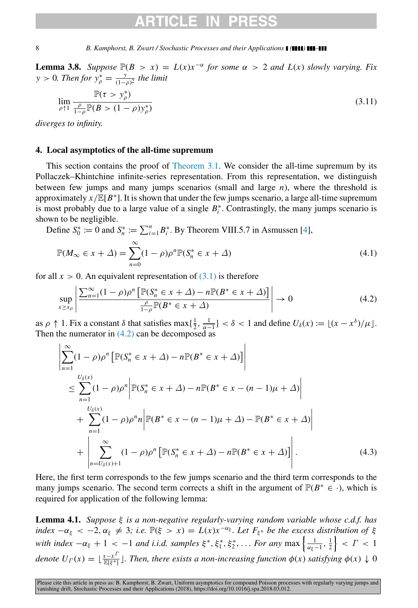# TICI E IN

8 *B. Kamphorst, B. Zwart / Stochastic Processes and their Applications ( ) –*

<span id="page-7-0"></span>**Lemma 3.8.** Suppose  $\mathbb{P}(B > x) = L(x)x^{-\alpha}$  for some  $\alpha > 2$  and  $L(x)$  slowly varying. Fix *y* > 0*. Then for*  $y_{\rho}^* = \frac{y}{(1-y)^2}$  $\frac{y}{(1-\rho)^2}$  the limit

$$
\lim_{\rho \uparrow 1} \frac{\mathbb{P}(\tau > y_{\rho}^*)}{\frac{\rho}{1 - \rho} \mathbb{P}(B > (1 - \rho)y_{\rho}^*)}
$$
\n(3.11)

*diverges to infinity.*

## 4. Local asymptotics of the all-time supremum

This section contains the proof of [Theorem 3.1.](#page-4-0) We consider the all-time supremum by its Pollaczek–Khintchine infinite-series representation. From this representation, we distinguish between few jumps and many jumps scenarios (small and large *n*), where the threshold is approximately  $x/\mathbb{E}[B^*]$ . It is shown that under the few jumps scenario, a large all-time supremum is most probably due to a large value of a single  $B_i^*$ . Contrastingly, the many jumps scenario is shown to be negligible.

Define  $S_0^* := 0$  and  $S_n^* := \sum_{i=1}^n B_i^*$ . By Theorem VIII.5.7 in Asmussen [\[4\]](#page-30-20),

<span id="page-7-4"></span>
$$
\mathbb{P}(M_{\infty} \in x + \Delta) = \sum_{n=0}^{\infty} (1 - \rho)\rho^n \mathbb{P}(S_n^* \in x + \Delta)
$$
\n(4.1)

for all  $x > 0$ . An equivalent representation of  $(3.1)$  is therefore

<span id="page-7-1"></span>
$$
\sup_{x \ge x_{\rho}} \left| \frac{\sum_{n=1}^{\infty} (1 - \rho)\rho^n \left[ \mathbb{P}(S_n^* \in x + \Delta) - n \mathbb{P}(B^* \in x + \Delta) \right]}{\frac{\rho}{1 - \rho} \mathbb{P}(B^* \in x + \Delta)} \right| \to 0 \tag{4.2}
$$

as  $\rho \uparrow 1$ . Fix a constant  $\delta$  that satisfies max $\{\frac{1}{2}, \frac{1}{\alpha-1}\} < \delta < 1$  and define  $U_{\delta}(x) := \lfloor (x - x^{\delta})/\mu \rfloor$ . Then the numerator in  $(4.2)$  can be decomposed as

<span id="page-7-3"></span>
$$
\left| \sum_{n=1}^{\infty} (1 - \rho) \rho^n \left[ \mathbb{P}(S_n^* \in x + \Delta) - n \mathbb{P}(B^* \in x + \Delta) \right] \right|
$$
  
\n
$$
\leq \sum_{n=1}^{U_{\delta}(x)} (1 - \rho) \rho^n \left| \mathbb{P}(S_n^* \in x + \Delta) - n \mathbb{P}(B^* \in x - (n - 1)\mu + \Delta) \right|
$$
  
\n
$$
+ \sum_{n=1}^{U_{\delta}(x)} (1 - \rho) \rho^n n \left| \mathbb{P}(B^* \in x - (n - 1)\mu + \Delta) - \mathbb{P}(B^* \in x + \Delta) \right|
$$
  
\n
$$
+ \left| \sum_{n=U_{\delta}(x)+1}^{\infty} (1 - \rho) \rho^n \left[ \mathbb{P}(S_n^* \in x + \Delta) - n \mathbb{P}(B^* \in x + \Delta) \right] \right|. \tag{4.3}
$$

Here, the first term corresponds to the few jumps scenario and the third term corresponds to the many jumps scenario. The second term corrects a shift in the argument of  $\mathbb{P}(B^* \in \cdot)$ , which is required for application of the following lemma:

<span id="page-7-2"></span>Lemma 4.1. *Suppose* ξ *is a non-negative regularly-varying random variable whose c.d.f. has*  $index -\alpha_{\xi} < -2, \alpha_{\xi} \neq 3$ ; *i.e.*  $\mathbb{P}(\xi > x) = L(x)x^{-\alpha_{\xi}}$ . Let  $F_{\xi^*}$  be the excess distribution of  $\xi$ *with index*  $-\alpha_{\xi} + 1 < -1$  *and i.i.d. samples*  $\xi^*, \xi_1^*, \xi_2^*, \ldots$  *For any* max  $\left\{\frac{1}{\alpha_{\xi}-1}, \frac{1}{2}\right\} < \Gamma < 1$ *denote*  $U_{\Gamma}(x) = \lfloor \frac{x - x^{\Gamma}}{\mathbb{E}[\xi^{*}]} \rfloor$ . Then, there exists a non-increasing function  $\phi(x)$  satisfying  $\phi(x) \downarrow 0$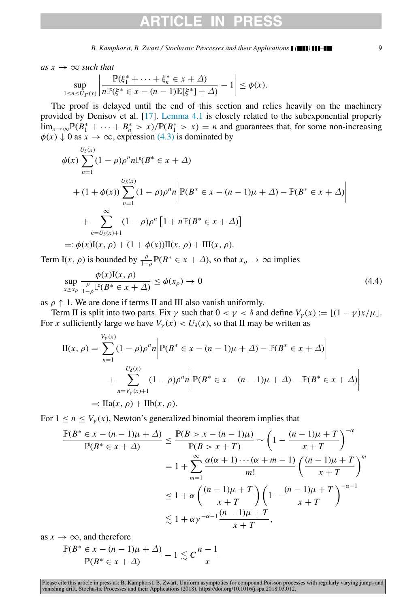$as x \rightarrow \infty$  *such that* 

$$
\sup_{1 \le n \le U_{\Gamma}(x)} \left| \frac{\mathbb{P}(\xi_1^* + \dots + \xi_n^* \in x + \Delta)}{n \mathbb{P}(\xi^* \in x - (n-1)\mathbb{E}[\xi^*] + \Delta)} - 1 \right| \le \phi(x).
$$

The proof is delayed until the end of this section and relies heavily on the machinery provided by Denisov et al. [\[17\]](#page-30-18). [Lemma 4.1](#page-7-2) is closely related to the subexponential property lim<sub>*x*→∞</sub> $\mathbb{P}(B_1^* + \cdots + B_n^* > x)/\mathbb{P}(B_1^* > x) = n$  and guarantees that, for some non-increasing  $\phi(x) \downarrow 0$  as  $x \to \infty$ , expression [\(4.3\)](#page-7-3) is dominated by

$$
\phi(x) \sum_{n=1}^{U_{\delta}(x)} (1 - \rho) \rho^n n \mathbb{P}(B^* \in x + \Delta)
$$
  
+  $(1 + \phi(x)) \sum_{n=1}^{U_{\delta}(x)} (1 - \rho) \rho^n n \Big| \mathbb{P}(B^* \in x - (n - 1)\mu + \Delta) - \mathbb{P}(B^* \in x + \Delta) \Big|$   
+ 
$$
\sum_{n=U_{\delta}(x)+1}^{\infty} (1 - \rho) \rho^n [1 + n \mathbb{P}(B^* \in x + \Delta)]
$$
  
=:  $\phi(x) \mathbb{I}(x, \rho) + (1 + \phi(x)) \mathbb{I}(x, \rho) + \mathbb{II}(x, \rho).$ 

Term I(*x*,  $\rho$ ) is bounded by  $\frac{\rho}{1-\rho} \mathbb{P}(B^* \in x + \Delta)$ , so that  $x_\rho \to \infty$  implies

<span id="page-8-0"></span>
$$
\sup_{x \ge x_{\rho}} \frac{\phi(x) \mathbf{I}(x, \rho)}{\frac{\rho}{1 - \rho} \mathbb{P}(B^* \in x + \Delta)} \le \phi(x_{\rho}) \to 0 \tag{4.4}
$$

as  $\rho \uparrow 1$ . We are done if terms II and III also vanish uniformly.

Term II is split into two parts. Fix  $\gamma$  such that  $0 < \gamma < \delta$  and define  $V_{\gamma}(x) := |(1 - \gamma)x/\mu|$ . For *x* sufficiently large we have  $V_{\gamma}(x) < U_{\delta}(x)$ , so that II may be written as

$$
\Pi(x, \rho) = \sum_{n=1}^{V_{\gamma}(x)} (1 - \rho)\rho^n n \left| \mathbb{P}(B^* \in x - (n-1)\mu + \Delta) - \mathbb{P}(B^* \in x + \Delta) \right|
$$
  
+ 
$$
\sum_{n=V_{\gamma}(x)+1}^{U_{\delta}(x)} (1 - \rho)\rho^n n \left| \mathbb{P}(B^* \in x - (n-1)\mu + \Delta) - \mathbb{P}(B^* \in x + \Delta) \right|
$$
  
=: 
$$
\Pi a(x, \rho) + \Pi b(x, \rho).
$$

For  $1 \le n \le V_{\nu}(x)$ , Newton's generalized binomial theorem implies that

$$
\frac{\mathbb{P}(B^* \in x - (n-1)\mu + \Delta)}{\mathbb{P}(B^* \in x + \Delta)} \le \frac{\mathbb{P}(B > x - (n-1)\mu)}{\mathbb{P}(B > x + T)} \sim \left(1 - \frac{(n-1)\mu + T}{x + T}\right)^{-\alpha}
$$

$$
= 1 + \sum_{m=1}^{\infty} \frac{\alpha(\alpha + 1) \cdots (\alpha + m - 1)}{m!} \left(\frac{(n-1)\mu + T}{x + T}\right)^m
$$

$$
\le 1 + \alpha \left(\frac{(n-1)\mu + T}{x + T}\right) \left(1 - \frac{(n-1)\mu + T}{x + T}\right)^{-\alpha - 1}
$$

$$
\lesssim 1 + \alpha \gamma^{-\alpha - 1} \frac{(n-1)\mu + T}{x + T},
$$

as  $x \to \infty$ , and therefore

$$
\frac{\mathbb{P}(B^* \in x - (n-1)\mu + \Delta)}{\mathbb{P}(B^* \in x + \Delta)} - 1 \lesssim C \frac{n-1}{x}
$$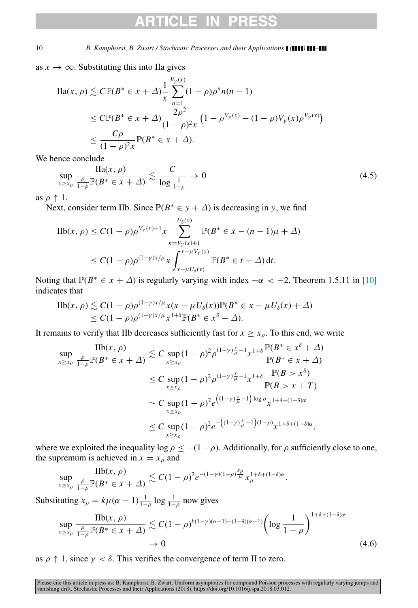# CI E I

10 *B. Kamphorst, B. Zwart / Stochastic Processes and their Applications ( ) –*

as  $x \to \infty$ . Substituting this into IIa gives

$$
\begin{split} \text{IIa}(x,\rho) &\lesssim C\mathbb{P}(B^* \in x + \Delta) \frac{1}{x} \sum_{n=1}^{V_Y(x)} (1 - \rho)\rho^n n(n-1) \\ &\le C\mathbb{P}(B^* \in x + \Delta) \frac{2\rho^2}{(1 - \rho)^2 x} \left(1 - \rho^{V_Y(x)} - (1 - \rho)V_Y(x)\rho^{V_Y(x)}\right) \\ &\le \frac{C\rho}{(1 - \rho)^2 x} \mathbb{P}(B^* \in x + \Delta). \end{split}
$$

We hence conclude

<span id="page-9-0"></span>
$$
\sup_{x \ge x_{\rho}} \frac{\text{IIa}(x, \rho)}{\frac{\rho}{1 - \rho} \mathbb{P}(B^* \in x + \Delta)} \lesssim \frac{C}{\log \frac{1}{1 - \rho}} \to 0 \tag{4.5}
$$

as  $\rho \uparrow 1$ .

Next, consider term IIb. Since  $\mathbb{P}(B^* \in y + \Delta)$  is decreasing in *y*, we find

$$
\begin{aligned} \text{IIb}(x,\,\rho) &\leq C(1-\rho)\rho^{V_{\gamma}(x)+1}x \sum_{n=V_{\gamma}(x)+1}^{U_{\delta}(x)} \mathbb{P}(B^* \in x - (n-1)\mu + \Delta) \\ &\leq C(1-\rho)\rho^{(1-\gamma)x/\mu}x \int_{x-\mu U_{\delta}(x)}^{x-\mu V_{\gamma}(x)} \mathbb{P}(B^* \in t + \Delta) \, \mathrm{d}t. \end{aligned}
$$

Noting that  $\mathbb{P}(B^* \in x + \Delta)$  is regularly varying with index  $-\alpha < -2$ , Theorem 1.5.11 in [\[10\]](#page-30-14) indicates that

$$
\begin{aligned} \text{IIb}(x,\rho) &\lesssim C(1-\rho)\rho^{(1-\gamma)x/\mu}x(x-\mu U_\delta(x))\mathbb{P}(B^* \in x - \mu U_\delta(x) + \Delta) \\ &\le C(1-\rho)\rho^{(1-\gamma)x/\mu}x^{1+\delta}\mathbb{P}(B^* \in x^\delta - \Delta). \end{aligned}
$$

It remains to verify that IIb decreases sufficiently fast for  $x \ge x_0$ . To this end, we write

$$
\sup_{x \ge x_{\rho}} \frac{\text{IIb}(x, \rho)}{\frac{\rho}{1 - \rho} \mathbb{P}(B^* \in x + \Delta)} \lesssim C \sup_{x \ge x_{\rho}} (1 - \rho)^2 \rho^{(1 - \gamma) \frac{x}{\mu} - 1} x^{1 + \delta} \frac{\mathbb{P}(B^* \in x^{\delta} + \Delta)}{\mathbb{P}(B^* \in x + \Delta)}
$$
\n
$$
\le C \sup_{x \ge x_{\rho}} (1 - \rho)^2 \rho^{(1 - \gamma) \frac{x}{\mu} - 1} x^{1 + \delta} \frac{\mathbb{P}(B > x^{\delta})}{\mathbb{P}(B > x + T)}
$$
\n
$$
\sim C \sup_{x \ge x_{\rho}} (1 - \rho)^2 e^{\left((1 - \gamma) \frac{x}{\mu} - 1\right) \log \rho} x^{1 + \delta + (1 - \delta)\alpha}
$$
\n
$$
\le C \sup_{x \ge x_{\rho}} (1 - \rho)^2 e^{-\left((1 - \gamma) \frac{x}{\mu} - 1\right)(1 - \rho)} x^{1 + \delta + (1 - \delta)\alpha},
$$

where we exploited the inequality log  $\rho \leq -(1-\rho)$ . Additionally, for  $\rho$  sufficiently close to one, the supremum is achieved in  $x = x_\rho$  and

$$
\sup_{x\geq x_\rho}\frac{\text{IIb}(x,\rho)}{\frac{\rho}{1-\rho}\mathbb{P}(B^*\in x+\Delta)}\lesssim C(1-\rho)^2e^{-(1-\gamma)(1-\rho)\frac{x_\rho}{\mu}}x_\rho^{1+\delta+(1-\delta)\alpha}.
$$

Substituting  $x_{\rho} = k\mu(\alpha - 1)\frac{1}{1-\rho}\log\frac{1}{1-\rho}$  now gives

<span id="page-9-1"></span>
$$
\sup_{x \ge x_{\rho}} \frac{\text{IIb}(x, \rho)}{\frac{\rho}{1-\rho} \mathbb{P}(B^* \in x + \Delta)} \lesssim C(1-\rho)^{k(1-\gamma)(\alpha-1)-(1-\delta)(\alpha-1)} \left( \log \frac{1}{1-\rho} \right)^{1+\delta+(1-\delta)\alpha} \to 0 \tag{4.6}
$$

as  $\rho \uparrow 1$ , since  $\gamma < \delta$ . This verifies the convergence of term II to zero.

Please cite this article in press as: B. Kamphorst, B. Zwart, Uniform asymptotics for compound Poisson processes with regularly varying jumps and<br>vanishing drift, Stochastic Processes and their Applications (2018), https:/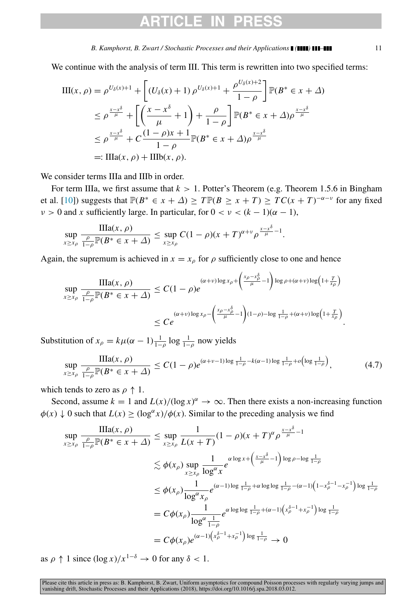# ARTICI F IN

#### *B. Kamphorst, B. Zwart / Stochastic Processes and their Applications ( ) –* 11

We continue with the analysis of term III. This term is rewritten into two specified terms:

$$
\begin{split} \text{III}(x,\rho) &= \rho^{U_{\delta}(x)+1} + \left[ \left( U_{\delta}(x) + 1 \right) \rho^{U_{\delta}(x)+1} + \frac{\rho^{U_{\delta}(x)+2}}{1-\rho} \right] \mathbb{P}(B^* \in x + \Delta) \\ &\le \rho^{\frac{x-x^{\delta}}{\mu}} + \left[ \left( \frac{x-x^{\delta}}{\mu} + 1 \right) + \frac{\rho}{1-\rho} \right] \mathbb{P}(B^* \in x + \Delta) \rho^{\frac{x-x^{\delta}}{\mu}} \\ &\le \rho^{\frac{x-x^{\delta}}{\mu}} + C \frac{(1-\rho)x+1}{1-\rho} \mathbb{P}(B^* \in x + \Delta) \rho^{\frac{x-x^{\delta}}{\mu}} \\ &=: \text{III}(x,\rho) + \text{III}(x,\rho). \end{split}
$$

We consider terms IIIa and IIIb in order.

For term IIIa, we first assume that  $k > 1$ . Potter's Theorem (e.g. Theorem 1.5.6 in Bingham et al. [\[10\]](#page-30-14)) suggests that  $\mathbb{P}(B^* \in x + \Delta) \ge T \mathbb{P}(B \ge x + T) \ge TC(x + T)^{-\alpha - \nu}$  for any fixed  $v > 0$  and *x* sufficiently large. In particular, for  $0 < v < (k - 1)(\alpha - 1)$ ,

$$
\sup_{x\geq x_\rho}\frac{\text{IIIa}(x,\rho)}{\frac{\rho}{1-\rho}\mathbb{P}(B^*\in x+\Delta)}\leq \sup_{x\geq x_\rho}C(1-\rho)(x+T)^{\alpha+\nu}\rho^{\frac{x-x^\delta}{\mu}-1}.
$$

Again, the supremum is achieved in  $x = x_\rho$  for  $\rho$  sufficiently close to one and hence

$$
\sup_{x \ge x_{\rho}} \frac{\operatorname{IIIa}(x, \rho)}{\frac{\rho}{1 - \rho} \mathbb{P}(B^* \in x + \Delta)} \le C(1 - \rho)e^{(\alpha + \nu) \log x_{\rho} + \left(\frac{x_{\rho} - x_{\rho}^{\delta}}{\mu} - 1\right) \log \rho + (\alpha + \nu) \log\left(1 + \frac{T}{x_{\rho}}\right)}}{\le C e^{\left(\alpha + \nu\right) \log x_{\rho} - \left(\frac{x_{\rho} - x_{\rho}^{\delta}}{\mu} - 1\right)(1 - \rho) - \log \frac{1}{1 - \rho} + (\alpha + \nu) \log\left(1 + \frac{T}{x_{\rho}}\right)}}.
$$

Substitution of  $x_\rho = k\mu(\alpha - 1)\frac{1}{1-\rho}\log\frac{1}{1-\rho}$  now yields

<span id="page-10-0"></span>
$$
\sup_{x \ge x_{\rho}} \frac{\text{IIIa}(x, \rho)}{\frac{\rho}{1 - \rho} \mathbb{P}(B^* \in x + \Delta)} \le C(1 - \rho)e^{(\alpha + \nu - 1)\log \frac{1}{1 - \rho} - k(\alpha - 1)\log \frac{1}{1 - \rho} + o\left(\log \frac{1}{1 - \rho}\right)},\tag{4.7}
$$

which tends to zero as  $\rho \uparrow 1$ .

Second, assume  $k = 1$  and  $L(x)/(\log x)^{\alpha} \to \infty$ . Then there exists a non-increasing function  $\phi(x) \downarrow 0$  such that  $L(x) \geq (\log^{\alpha} x)/\phi(x)$ . Similar to the preceding analysis we find

$$
\sup_{x \ge x_{\rho}} \frac{\text{IIIa}(x, \rho)}{1-\rho} \mathbb{P}(B^* \in x + \Delta) \le \sup_{x \ge x_{\rho}} \frac{1}{L(x+T)} (1-\rho)(x+T)^{\alpha} \rho^{\frac{x-x^{\delta}}{\mu}-1}
$$
  

$$
\le \phi(x_{\rho}) \sup_{x \ge x_{\rho}} \frac{1}{\log^{\alpha} x} e^{\log x + (\frac{x-x^{\delta}}{\mu}-1) \log \rho - \log \frac{1}{1-\rho}}
$$
  

$$
\le \phi(x_{\rho}) \frac{1}{\log^{\alpha} x_{\rho}} e^{(\alpha-1) \log \frac{1}{1-\rho} + \alpha \log \log \frac{1}{1-\rho} - (\alpha-1) (1-x_{\rho}^{\delta-1}-x_{\rho}^{-1}) \log \frac{1}{1-\rho}}
$$
  

$$
= C\phi(x_{\rho}) \frac{1}{\log^{\alpha} \frac{1}{1-\rho}} e^{\alpha \log \log \frac{1}{1-\rho} + (\alpha-1) (x_{\rho}^{\delta-1}+x_{\rho}^{-1}) \log \frac{1}{1-\rho}}
$$
  

$$
= C\phi(x_{\rho}) e^{(\alpha-1) (x_{\rho}^{\delta-1}+x_{\rho}^{-1}) \log \frac{1}{1-\rho}} \to 0
$$

as  $\rho \uparrow 1$  since  $(\log x)/x^{1-\delta} \to 0$  for any  $\delta < 1$ .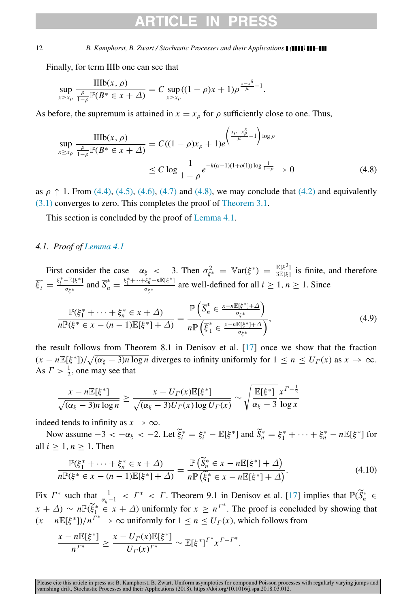Finally, for term IIIb one can see that

$$
\sup_{x \ge x_\rho} \frac{\text{IIIb}(x, \rho)}{\frac{\rho}{1 - \rho} \mathbb{P}(B^* \in x + \Delta)} = C \sup_{x \ge x_\rho} ((1 - \rho)x + 1)\rho^{\frac{x - x^\delta}{\mu} - 1}.
$$

As before, the supremum is attained in  $x = x_{\rho}$  for  $\rho$  sufficiently close to one. Thus,

<span id="page-11-0"></span>
$$
\sup_{x \ge x_{\rho}} \frac{\text{IIIb}(x, \rho)}{\frac{\rho}{1 - \rho} \mathbb{P}(B^* \in x + \Delta)} = C((1 - \rho)x_{\rho} + 1)e^{-\left(\frac{x_{\rho} - x_{\rho}^2}{\mu} - 1\right) \log \rho}
$$
\n
$$
\le C \log \frac{1}{1 - \rho} e^{-k(\alpha - 1)(1 + o(1)) \log \frac{1}{1 - \rho}} \to 0 \tag{4.8}
$$

as  $\rho \uparrow 1$ . From [\(4.4\),](#page-8-0) [\(4.5\),](#page-9-0) [\(4.6\),](#page-9-1) [\(4.7\)](#page-10-0) and [\(4.8\),](#page-11-0) we may conclude that [\(4.2\)](#page-7-1) and equivalently [\(3.1\)](#page-4-4) converges to zero. This completes the proof of [Theorem 3.1.](#page-4-0)

This section is concluded by the proof of [Lemma 4.1.](#page-7-2)

## *4.1. Proof of [Lemma 4.1](#page-7-2)*

First consider the case  $-\alpha_{\xi} < -3$ . Then  $\sigma_{\xi^*}^2 = \mathbb{V}\text{ar}(\xi^*) = \frac{\mathbb{E}[\xi^3]}{3\mathbb{E}[\xi]}$  is finite, and therefore  $\overline{\xi}_i^* = \frac{\xi_i^* - \mathbb{E}[\xi^*]}{\sigma_{\xi^*}}$  $\frac{-\mathbb{E}[\xi^*]}{\sigma_{\xi^*}}$  and  $\overline{S}_n^* = \frac{\xi_1^* + \dots + \xi_n^* - n \mathbb{E}[\xi^*]}{\sigma_{\xi^*}}$  $\frac{\sigma_{\text{S}_n} - n \ln \left\{s - 1\right\}}{\sigma_{\xi^*}}$  are well-defined for all  $i \geq 1, n \geq 1$ . Since

$$
\frac{\mathbb{P}(\xi_1^* + \dots + \xi_n^* \in x + \Delta)}{n \mathbb{P}(\xi^* \in x - (n-1)\mathbb{E}[\xi^*] + \Delta)} = \frac{\mathbb{P}\left(\overline{S}_n^* \in \frac{x - n \mathbb{E}[\xi^*] + \Delta}{\sigma_{\xi^*}}\right)}{n \mathbb{P}\left(\overline{\xi}_1^* \in \frac{x - n \mathbb{E}[\xi^*] + \Delta}{\sigma_{\xi^*}}\right)},\tag{4.9}
$$

the result follows from Theorem 8.1 in Denisov et al. [\[17\]](#page-30-18) once we show that the fraction  $(x - nE[\xi^*])/\sqrt{(\alpha_{\xi} - 3)n \log n}$  diverges to infinity uniformly for  $1 \le n \le U(\(x)$  as  $x \to \infty$ . As  $\Gamma > \frac{1}{2}$ , one may see that

$$
\frac{x - n \mathbb{E}[\xi^*]}{\sqrt{(\alpha_{\xi} - 3)n \log n}} \ge \frac{x - U_\Gamma(x) \mathbb{E}[\xi^*]}{\sqrt{(\alpha_{\xi} - 3)U_\Gamma(x) \log U_\Gamma(x)}} \sim \sqrt{\frac{\mathbb{E}[\xi^*]}{\alpha_{\xi} - 3} \frac{x^{\Gamma - \frac{1}{2}}}{\log x}}
$$

indeed tends to infinity as  $x \to \infty$ .

Now assume  $-3 < -\alpha_{\xi} < -2$ . Let  $\tilde{\xi}_i^* = \xi_i^* - \mathbb{E}[\xi^*]$  and  $\tilde{S}_n^* = \xi_1^* + \cdots + \xi_n^* - n\mathbb{E}[\xi^*]$  for all  $i \geq 1, n \geq 1$ . Then

$$
\frac{\mathbb{P}(\xi_1^* + \dots + \xi_n^* \in x + \Delta)}{n \mathbb{P}(\xi^* \in x - (n-1)\mathbb{E}[\xi^*] + \Delta)} = \frac{\mathbb{P}(\widetilde{S}_n^* \in x - n\mathbb{E}[\xi^*] + \Delta)}{n \mathbb{P}(\widetilde{\xi}_1^* \in x - n\mathbb{E}[\xi^*] + \Delta)}.
$$
\n(4.10)

Fix  $\Gamma^*$  such that  $\frac{1}{\alpha_{\xi}-1} < \Gamma^* < \Gamma$ . Theorem 9.1 in Denisov et al. [\[17\]](#page-30-18) implies that  $\mathbb{P}(\widetilde{S}_n^* \in$  $f(x + \Delta) \sim n \mathbb{P}(\tilde{\xi}_1^* \in x + \Delta)$  uniformly for  $x \geq n^{T^*}$ . The proof is concluded by showing that  $(x - nE[\xi^*])/n^{\Gamma^*} \to \infty$  uniformly for  $1 \le n \le U_\Gamma(x)$ , which follows from

$$
\frac{x - n \mathbb{E}[\xi^*]}{n^{\Gamma^*}} \ge \frac{x - U_{\Gamma}(x) \mathbb{E}[\xi^*]}{U_{\Gamma}(x)^{\Gamma^*}} \sim \mathbb{E}[\xi^*]^{\Gamma^*} x^{\Gamma - \Gamma^*}.
$$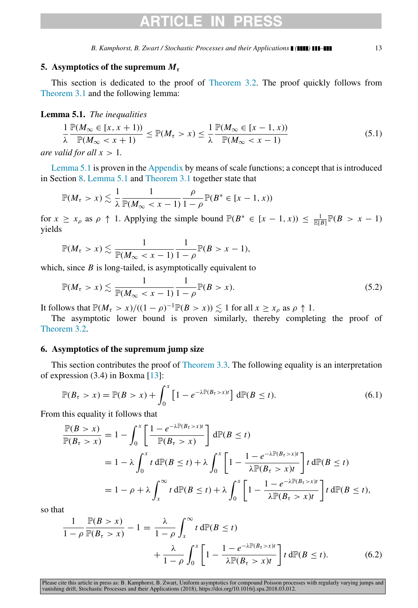# ARTICI F I

*B. Kamphorst, B. Zwart / Stochastic Processes and their Applications ( ) –* 13

## 5. Asymptotics of the supremum  $M_{\tau}$

This section is dedicated to the proof of [Theorem 3.2.](#page-4-1) The proof quickly follows from [Theorem 3.1](#page-4-0) and the following lemma:

<span id="page-12-0"></span>Lemma 5.1. *The inequalities*

$$
\frac{1}{\lambda} \frac{\mathbb{P}(M_{\infty} \in [x, x+1))}{\mathbb{P}(M_{\infty} < x+1)} \le \mathbb{P}(M_{\tau} > x) \le \frac{1}{\lambda} \frac{\mathbb{P}(M_{\infty} \in [x-1, x))}{\mathbb{P}(M_{\infty} < x-1)} \tag{5.1}
$$

*are valid for all*  $x > 1$ *.* 

[Lemma 5.1](#page-12-0) is proven in the [Appendix](#page-29-0) by means of scale functions; a concept that is introduced in Section [8.](#page-21-0) [Lemma 5.1](#page-12-0) and [Theorem 3.1](#page-4-0) together state that

$$
\mathbb{P}(M_{\tau} > x) \lesssim \frac{1}{\lambda} \frac{1}{\mathbb{P}(M_{\infty} < x - 1)} \frac{\rho}{1 - \rho} \mathbb{P}(B^* \in [x - 1, x))
$$

for  $x \ge x_\rho$  as  $\rho \uparrow 1$ . Applying the simple bound  $\mathbb{P}(B^* \in [x-1,x)) \le \frac{1}{\mathbb{E}(B)} \mathbb{P}(B > x - 1)$ yields

$$
\mathbb{P}(M_{\tau} > x) \lesssim \frac{1}{\mathbb{P}(M_{\infty} < x - 1)} \frac{1}{1 - \rho} \mathbb{P}(B > x - 1),
$$

which, since *B* is long-tailed, is asymptotically equivalent to

$$
\mathbb{P}(M_{\tau} > x) \lesssim \frac{1}{\mathbb{P}(M_{\infty} < x - 1)} \frac{1}{1 - \rho} \mathbb{P}(B > x).
$$
 (5.2)

It follows that  $\mathbb{P}(M_\tau > x) / ((1 - \rho)^{-1} \mathbb{P}(B > x)) \lesssim 1$  for all  $x \geq x_\rho$  as  $\rho \uparrow 1$ .

The asymptotic lower bound is proven similarly, thereby completing the proof of [Theorem 3.2.](#page-4-1)

## 6. Asymptotics of the supremum jump size

This section contributes the proof of [Theorem 3.3.](#page-4-2) The following equality is an interpretation of expression (3.4) in Boxma [\[13\]](#page-30-21):

$$
\mathbb{P}(B_{\tau} > x) = \mathbb{P}(B > x) + \int_0^x \left[1 - e^{-\lambda \mathbb{P}(B_{\tau} > x)t}\right] d\mathbb{P}(B \le t).
$$
\n(6.1)

From this equality it follows that

$$
\frac{\mathbb{P}(B > x)}{\mathbb{P}(B_{\tau} > x)} = 1 - \int_0^x \left[ \frac{1 - e^{-\lambda \mathbb{P}(B_{\tau} > x)t}}{\mathbb{P}(B_{\tau} > x)} \right] d\mathbb{P}(B \le t)
$$
  
=  $1 - \lambda \int_0^x t d\mathbb{P}(B \le t) + \lambda \int_0^x \left[ 1 - \frac{1 - e^{-\lambda \mathbb{P}(B_{\tau} > x)t}}{\lambda \mathbb{P}(B_{\tau} > x)t} \right] t d\mathbb{P}(B \le t)$   
=  $1 - \rho + \lambda \int_x^\infty t d\mathbb{P}(B \le t) + \lambda \int_0^x \left[ 1 - \frac{1 - e^{-\lambda \mathbb{P}(B_{\tau} > x)t}}{\lambda \mathbb{P}(B_{\tau} > x)t} \right] t d\mathbb{P}(B \le t),$ 

so that

<span id="page-12-1"></span>
$$
\frac{1}{1-\rho} \frac{\mathbb{P}(B>x)}{\mathbb{P}(B_{\tau}>x)} - 1 = \frac{\lambda}{1-\rho} \int_{x}^{\infty} t \,d\mathbb{P}(B \le t) + \frac{\lambda}{1-\rho} \int_{0}^{x} \left[1 - \frac{1 - e^{-\lambda \mathbb{P}(B_{\tau}>x)t}}{\lambda \mathbb{P}(B_{\tau}>x)t}\right] t \,d\mathbb{P}(B \le t).
$$
\n(6.2)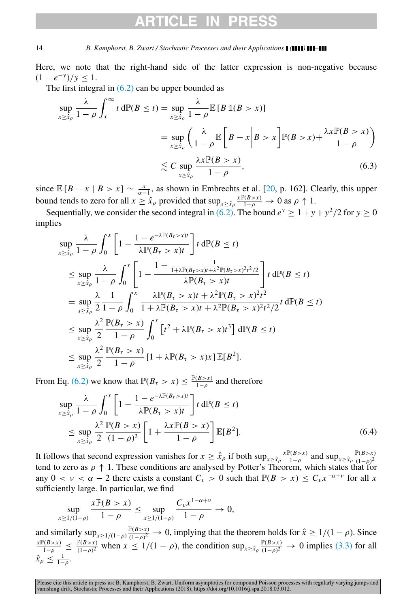# **ARTICLE IN PRES**

### 14 *B. Kamphorst, B. Zwart / Stochastic Processes and their Applications ( ) –*

Here, we note that the right-hand side of the latter expression is non-negative because  $(1 - e^{-y})/y \leq 1.$ 

The first integral in  $(6.2)$  can be upper bounded as

$$
\sup_{x \ge \hat{x}_{\rho}} \frac{\lambda}{1 - \rho} \int_{x}^{\infty} t \, d\mathbb{P}(B \le t) = \sup_{x \ge \hat{x}_{\rho}} \frac{\lambda}{1 - \rho} \mathbb{E}\left[B \mathbb{1}(B > x)\right]
$$
\n
$$
= \sup_{x \ge \hat{x}_{\rho}} \left(\frac{\lambda}{1 - \rho} \mathbb{E}\left[B - x \middle| B > x\right] \mathbb{P}(B > x) + \frac{\lambda x \mathbb{P}(B > x)}{1 - \rho}\right)
$$
\n
$$
\lesssim C \sup_{x \ge \hat{x}_{\rho}} \frac{\lambda x \mathbb{P}(B > x)}{1 - \rho},\tag{6.3}
$$

since  $\mathbb{E}[B-x \mid B > x] \sim \frac{x}{\alpha-1}$ , as shown in Embrechts et al. [\[20,](#page-30-22) p. 162]. Clearly, this upper bound tends to zero for all  $x \ge \hat{x}_{\rho}$  provided that  $\sup_{x \ge \hat{x}_{\rho}} \frac{x \mathbb{P}(\beta > x)}{1 - \rho} \to 0$  as  $\rho \uparrow 1$ .

Sequentially, we consider the second integral in [\(6.2\).](#page-12-1) The bound  $e^y \geq 1 + y + y^2/2$  for  $y \geq 0$ implies

$$
\sup_{x \ge \hat{x}_\rho} \frac{\lambda}{1-\rho} \int_0^x \left[ 1 - \frac{1 - e^{-\lambda \mathbb{P}(B_\tau > x)t}}{\lambda \mathbb{P}(B_\tau > x)t} \right] t \, d\mathbb{P}(B \le t)
$$
\n
$$
\le \sup_{x \ge \hat{x}_\rho} \frac{\lambda}{1-\rho} \int_0^x \left[ 1 - \frac{1 - \frac{1}{1 + \lambda \mathbb{P}(B_\tau > x)t + \lambda^2 \mathbb{P}(B_\tau > x)^2 t^2 / 2}}{\lambda \mathbb{P}(B_\tau > x)t} \right] t \, d\mathbb{P}(B \le t)
$$
\n
$$
= \sup_{x \ge \hat{x}_\rho} \frac{\lambda}{2} \frac{1}{1-\rho} \int_0^x \frac{\lambda \mathbb{P}(B_\tau > x)t + \lambda^2 \mathbb{P}(B_\tau > x)^2 t^2}{1 + \lambda \mathbb{P}(B_\tau > x)t + \lambda^2 \mathbb{P}(B_\tau > x)^2 t^2 / 2} t \, d\mathbb{P}(B \le t)
$$
\n
$$
\le \sup_{x \ge \hat{x}_\rho} \frac{\lambda^2}{2} \frac{\mathbb{P}(B_\tau > x)}{1-\rho} \int_0^x \left[ t^2 + \lambda \mathbb{P}(B_\tau > x)t^3 \right] d\mathbb{P}(B \le t)
$$
\n
$$
\le \sup_{x \ge \hat{x}_\rho} \frac{\lambda^2}{2} \frac{\mathbb{P}(B_\tau > x)}{1-\rho} \left[ 1 + \lambda \mathbb{P}(B_\tau > x)x \right] \mathbb{E}[B^2].
$$

From Eq. [\(6.2\)](#page-12-1) we know that  $\mathbb{P}(B_\tau > x) \leq \frac{\mathbb{P}(B > x)}{1-\rho}$  and therefore

$$
\sup_{x \ge \hat{x}_{\rho}} \frac{\lambda}{1 - \rho} \int_0^x \left[ 1 - \frac{1 - e^{-\lambda \mathbb{P}(B_\tau > x)t}}{\lambda \mathbb{P}(B_\tau > x)t} \right] t \, d\mathbb{P}(B \le t)
$$
\n
$$
\le \sup_{x \ge \hat{x}_{\rho}} \frac{\lambda^2 \mathbb{P}(B > x)}{2} \left[ 1 + \frac{\lambda x \mathbb{P}(B > x)}{1 - \rho} \right] \mathbb{E}[B^2]. \tag{6.4}
$$

It follows that second expression vanishes for  $x \ge \hat{x}_{\rho}$  if both  $\sup_{x \ge \hat{x}_{\rho}} \frac{\exp(B > x)}{1 - \rho}$  and  $\sup_{x \ge \hat{x}_{\rho}} \frac{\mathbb{P}(B > x)}{(1 - \rho)^2}$ tend to zero as  $\rho \uparrow 1$ . These conditions are analysed by Potter's Theorem, which states that for any  $0 < v < \alpha - 2$  there exists a constant  $C_v > 0$  such that  $\mathbb{P}(B > x) \leq C_v x^{-\alpha + v}$  for all x sufficiently large. In particular, we find

$$
\sup_{x \ge 1/(1-\rho)} \frac{x \mathbb{P}(B > x)}{1 - \rho} \le \sup_{x \ge 1/(1-\rho)} \frac{C_{\nu} x^{1 - \alpha + \nu}}{1 - \rho} \to 0,
$$

<span id="page-13-0"></span>and similarly  $\sup_{x \geq 1/(1-\rho)} \frac{\mathbb{P}(B > x)}{(1-\rho)^2}$  $\frac{\rho(B>x)}{(1-\rho)^2}$  → 0, implying that the theorem holds for  $\hat{x} \ge 1/(1-\rho)$ . Since  $\frac{x \mathbb{P}(B > x)}{1-\rho} \leq \frac{\mathbb{P}(B > x)}{(1-\rho)^2}$  $\frac{\mathbb{P}(B > x)}{(1-\rho)^2}$  when  $x \le 1/(1-\rho)$ , the condition sup<sub> $x \ge \hat{x}_\rho \frac{\mathbb{P}(B > x)}{(1-\rho)^2}$ </sub>  $\frac{\mathbb{P}(B>x)}{(1-\rho)^2} \to 0$  implies [\(3.3\)](#page-4-7) for all  $\hat{x}_{\rho} \leq \frac{1}{1-\rho}.$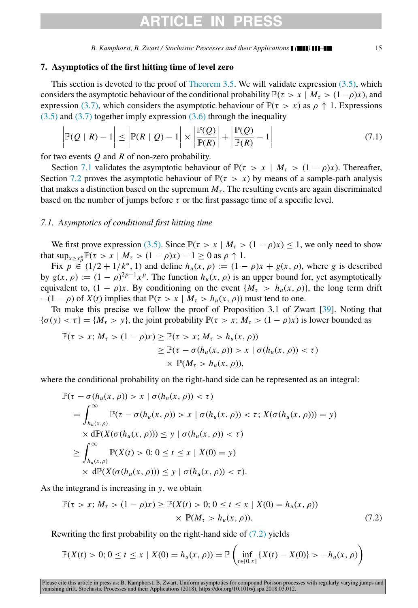# ARTICI F IN

*B. Kamphorst, B. Zwart / Stochastic Processes and their Applications ( ) –* 15

## 7. Asymptotics of the first hitting time of level zero

This section is devoted to the proof of [Theorem 3.5.](#page-5-0) We will validate expression  $(3.5)$ , which considers the asymptotic behaviour of the conditional probability  $\mathbb{P}(\tau > x \mid M_\tau > (1-\rho)x)$ , and expression [\(3.7\),](#page-5-4) which considers the asymptotic behaviour of  $\mathbb{P}(\tau > x)$  as  $\rho \uparrow 1$ . Expressions  $(3.5)$  and  $(3.7)$  together imply expression  $(3.6)$  through the inequality

$$
\left|\mathbb{P}(\mathcal{Q} \mid R) - 1\right| \le \left|\mathbb{P}(R \mid \mathcal{Q}) - 1\right| \times \left|\frac{\mathbb{P}(\mathcal{Q})}{\mathbb{P}(R)}\right| + \left|\frac{\mathbb{P}(\mathcal{Q})}{\mathbb{P}(R)} - 1\right| \tag{7.1}
$$

for two events *Q* and *R* of non-zero probability.

Section [7.1](#page-14-0) validates the asymptotic behaviour of  $\mathbb{P}(\tau > x \mid M_\tau > (1 - \rho)x)$ . Thereafter, Section [7.2](#page-15-0) proves the asymptotic behaviour of  $\mathbb{P}(\tau > x)$  by means of a sample-path analysis that makes a distinction based on the supremum  $M_t$ . The resulting events are again discriminated based on the number of jumps before  $\tau$  or the first passage time of a specific level.

## <span id="page-14-0"></span>*7.1. Asymptotics of conditional first hitting time*

We first prove expression [\(3.5\).](#page-5-2) Since  $\mathbb{P}(\tau > x \mid M_\tau > (1 - \rho)x) \leq 1$ , we only need to show that  $\sup_{x \ge x_\rho^*} \mathbb{P}(\tau > x \mid M_\tau > (1 - \rho)x) - 1 \ge 0$  as  $\rho \uparrow 1$ .

Fix  $p \in (1/2 + 1/k^* , 1)$  and define  $h_u(x, \rho) := (1 - \rho)x + g(x, \rho)$ , where *g* is described by  $g(x, \rho) := (1 - \rho)^{2p-1} x^p$ . The function  $h_u(x, \rho)$  is an upper bound for, yet asymptotically equivalent to,  $(1 - \rho)x$ . By conditioning on the event  $\{M_\tau > h_u(x, \rho)\}\)$ , the long term drift  $-(1 - \rho)$  of *X*(*t*) implies that  $\mathbb{P}(\tau > x \mid M_\tau > h_u(x, \rho))$  must tend to one.

To make this precise we follow the proof of Proposition 3.1 of Zwart [\[39\]](#page-31-5). Noting that  ${\sigma(y) < \tau} = {M_{\tau} > y}$ , the joint probability  ${\mathbb P}(\tau > x; M_{\tau} > (1 - \rho)x)$  is lower bounded as

$$
\mathbb{P}(\tau > x; M_{\tau} > (1 - \rho)x) \geq \mathbb{P}(\tau > x; M_{\tau} > h_u(x, \rho))
$$
  
\n
$$
\geq \mathbb{P}(\tau - \sigma(h_u(x, \rho)) > x \mid \sigma(h_u(x, \rho)) < \tau)
$$
  
\n
$$
\times \mathbb{P}(M_{\tau} > h_u(x, \rho)),
$$

where the conditional probability on the right-hand side can be represented as an integral:

$$
\mathbb{P}(\tau - \sigma(h_u(x, \rho)) > x \mid \sigma(h_u(x, \rho)) < \tau)
$$
\n
$$
= \int_{h_u(x, \rho)}^{\infty} \mathbb{P}(\tau - \sigma(h_u(x, \rho)) > x \mid \sigma(h_u(x, \rho)) < \tau; X(\sigma(h_u(x, \rho))) = y)
$$
\n
$$
\times d\mathbb{P}(X(\sigma(h_u(x, \rho))) \leq y \mid \sigma(h_u(x, \rho)) < \tau)
$$
\n
$$
\geq \int_{h_u(x, \rho)}^{\infty} \mathbb{P}(X(t) > 0; 0 \leq t \leq x \mid X(0) = y)
$$
\n
$$
\times d\mathbb{P}(X(\sigma(h_u(x, \rho))) \leq y \mid \sigma(h_u(x, \rho)) < \tau).
$$

As the integrand is increasing in *y*, we obtain

<span id="page-14-1"></span>
$$
\mathbb{P}(\tau > x; M_{\tau} > (1 - \rho)x) \ge \mathbb{P}(X(t) > 0; 0 \le t \le x | X(0) = h_{u}(x, \rho))
$$
  
 
$$
\times \mathbb{P}(M_{\tau} > h_{u}(x, \rho)). \tag{7.2}
$$

Rewriting the first probability on the right-hand side of [\(7.2\)](#page-14-1) yields

$$
\mathbb{P}(X(t) > 0; 0 \le t \le x \mid X(0) = h_u(x, \rho)) = \mathbb{P}\left(\inf_{t \in [0, x]} \{X(t) - X(0)\} > -h_u(x, \rho)\right)
$$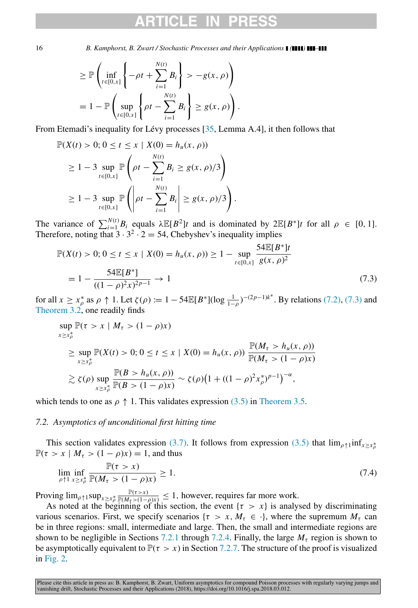$$
\geq \mathbb{P}\left(\inf_{t\in[0,x]}\left\{-\rho t + \sum_{i=1}^{N(t)}B_i\right\} > -g(x,\rho)\right)
$$
  
=  $1 - \mathbb{P}\left(\sup_{t\in[0,x]}\left\{\rho t - \sum_{i=1}^{N(t)}B_i\right\} \geq g(x,\rho)\right).$ 

From Etemadi's inequality for Lévy processes  $[35,$  $[35,$  Lemma A.4], it then follows that

$$
\mathbb{P}(X(t) > 0; 0 \le t \le x \mid X(0) = h_u(x, \rho))
$$
  
\n
$$
\ge 1 - 3 \sup_{t \in [0, x]} \mathbb{P}\left(\rho t - \sum_{i=1}^{N(t)} B_i \ge g(x, \rho)/3\right)
$$
  
\n
$$
\ge 1 - 3 \sup_{t \in [0, x]} \mathbb{P}\left(\left|\rho t - \sum_{i=1}^{N(t)} B_i\right| \ge g(x, \rho)/3\right).
$$

The variance of  $\sum_{i=1}^{N(t)} B_i$  equals  $\lambda \mathbb{E}[B^2]t$  and is dominated by  $2\mathbb{E}[B^*]t$  for all  $\rho \in [0, 1]$ . Therefore, noting that  $3 \cdot 3^2 \cdot 2 = 54$ , Chebyshev's inequality implies

<span id="page-15-1"></span>
$$
\mathbb{P}(X(t) > 0; 0 \le t \le x \mid X(0) = h_u(x, \rho)) \ge 1 - \sup_{t \in [0, x]} \frac{54 \mathbb{E}[B^*]t}{g(x, \rho)^2}
$$

$$
= 1 - \frac{54 \mathbb{E}[B^*]}{((1 - \rho)^2 x)^{2p - 1}} \to 1
$$
(7.3)

for all  $x \ge x_\rho^*$  as  $\rho \uparrow 1$ . Let  $\zeta(\rho) := 1 - 54\mathbb{E}[B^*](\log \frac{1}{1-\rho})^{-(2p-1)k^*}$ . By relations [\(7.2\),](#page-14-1) [\(7.3\)](#page-15-1) and [Theorem 3.2,](#page-4-1) one readily finds

$$
\sup_{x \ge x_{\rho}^{*}} \mathbb{P}(\tau > x \mid M_{\tau} > (1 - \rho)x)
$$
\n
$$
\ge \sup_{x \ge x_{\rho}^{*}} \mathbb{P}(X(t) > 0; 0 \le t \le x \mid X(0) = h_{u}(x, \rho)) \frac{\mathbb{P}(M_{\tau} > h_{u}(x, \rho))}{\mathbb{P}(M_{\tau} > (1 - \rho)x)}
$$
\n
$$
\ge \zeta(\rho) \sup_{x \ge x_{\rho}^{*}} \frac{\mathbb{P}(B > h_{u}(x, \rho))}{\mathbb{P}(B > (1 - \rho)x)} \sim \zeta(\rho) \big(1 + ((1 - \rho)^{2} x_{\rho}^{*})^{p-1}\big)^{-\alpha},
$$

<span id="page-15-0"></span>which tends to one as  $\rho \uparrow 1$ . This validates expression [\(3.5\)](#page-5-2) in [Theorem 3.5.](#page-5-0)

## *7.2. Asymptotics of unconditional first hitting time*

This section validates expression [\(3.7\).](#page-5-4) It follows from expression [\(3.5\)](#page-5-2) that  $\lim_{\rho \uparrow 1} \inf_{x \geq x_{\rho}^{*}}$  $\mathbb{P}(\tau > x \mid M_\tau > (1 - \rho)x) = 1$ , and thus

$$
\lim_{\rho \uparrow 1} \inf_{x \ge x_{\rho}^*} \frac{\mathbb{P}(\tau > x)}{\mathbb{P}(M_{\tau} > (1 - \rho)x)} \ge 1.
$$
\n(7.4)

Proving  $\lim_{\rho \uparrow 1} \sup_{x \ge x_\rho^*}$  $\frac{\mathbb{P}(\tau > x)}{\mathbb{P}(M_{\tau} > (1-\rho)x)} \leq 1$ , however, requires far more work.

As noted at the beginning of this section, the event  $\{\tau > x\}$  is analysed by discriminating various scenarios. First, we specify scenarios { $\tau > x$ ,  $M_{\tau} \in \cdot$ }, where the supremum  $M_{\tau}$  can be in three regions: small, intermediate and large. Then, the small and intermediate regions are shown to be negligible in Sections [7.2.1](#page-16-0) through [7.2.4.](#page-19-0) Finally, the large  $M<sub>\tau</sub>$  region is shown to be asymptotically equivalent to  $\mathbb{P}(\tau > x)$  in Section [7.2.7.](#page-21-2) The structure of the proof is visualized in [Fig. 2.](#page-16-1)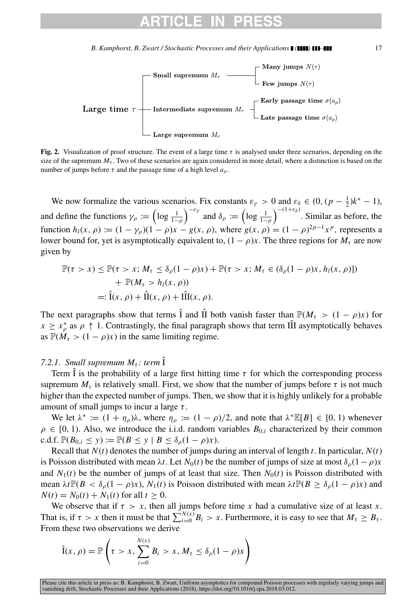<span id="page-16-1"></span>

Fig. 2. Visualization of proof structure. The event of a large time  $\tau$  is analysed under three scenarios, depending on the size of the supremum  $M<sub>\tau</sub>$ . Two of these scenarios are again considered in more detail, where a distinction is based on the number of jumps before  $\tau$  and the passage time of a high level  $a_{\rho}$ .

We now formalize the various scenarios. Fix constants  $\varepsilon_{\gamma} > 0$  and  $\varepsilon_{\delta} \in (0, (p - \frac{1}{2})k^* - 1)$ , and define the functions  $\gamma_{\rho} := \left(\log \frac{1}{1-\rho}\right)^{-\epsilon_{\gamma}}$  and  $\delta_{\rho} := \left(\log \frac{1}{1-\rho}\right)^{-(1+\epsilon_{\delta})}$ . Similar as before, the function  $h_l(x, \rho) := (1 - \gamma_\rho)(1 - \rho)x - g(x, \rho)$ , where  $g(x, \rho) = (1 - \rho)^{2p-1}x^p$ , represents a lower bound for, yet is asymptotically equivalent to,  $(1 - \rho)x$ . The three regions for  $M<sub>\tau</sub>$  are now given by

$$
\mathbb{P}(\tau > x) \le \mathbb{P}(\tau > x; M_{\tau} \le \delta_{\rho}(1 - \rho)x) + \mathbb{P}(\tau > x; M_{\tau} \in (\delta_{\rho}(1 - \rho)x, h_{l}(x, \rho)))
$$
  
+  $\mathbb{P}(M_{\tau} > h_{l}(x, \rho))$   
=:  $\hat{\mathbf{i}}(x, \rho) + \hat{\mathbf{II}}(x, \rho) + \hat{\mathbf{III}}(x, \rho).$ 

The next paragraphs show that terms  $\hat{I}$  and  $\hat{II}$  both vanish faster than  $\mathbb{P}(M_\tau > (1 - \rho)x)$  for  $x \geq x_{\rho}^*$  as  $\rho \uparrow 1$ . Contrastingly, the final paragraph shows that term III asymptotically behaves as  $\mathbb{P}(M_\tau > (1 - \rho)x)$  in the same limiting regime.

## <span id="page-16-0"></span>*7.2.1. Small supremum*  $M_{\tau}$ *: term*  $\hat{I}$

Term  $\hat{I}$  is the probability of a large first hitting time  $\tau$  for which the corresponding process supremum  $M_{\tau}$  is relatively small. First, we show that the number of jumps before  $\tau$  is not much higher than the expected number of jumps. Then, we show that it is highly unlikely for a probable amount of small jumps to incur a large  $\tau$ .

We let  $\lambda^* := (1 + \eta_\rho)\lambda$ , where  $\eta_\rho := (1 - \rho)/2$ , and note that  $\lambda^* \mathbb{E}[B] \in [0, 1)$  whenever  $\rho \in [0, 1)$ . Also, we introduce the i.i.d. random variables  $B_{0,i}$  characterized by their common c.d.f.  $\mathbb{P}(B_{0,i} \le y) := \mathbb{P}(B \le y \mid B \le \delta_0(1-\rho)x).$ 

Recall that  $N(t)$  denotes the number of jumps during an interval of length  $t$ . In particular,  $N(t)$ is Poisson distributed with mean  $\lambda t$ . Let  $N_0(t)$  be the number of jumps of size at most  $\delta_0(1-\rho)x$ and  $N_1(t)$  be the number of jumps of at least that size. Then  $N_0(t)$  is Poisson distributed with mean  $\lambda t \mathbb{P}(B < \delta_{\rho}(1-\rho)x)$ ,  $N_1(t)$  is Poisson distributed with mean  $\lambda t \mathbb{P}(B \geq \delta_{\rho}(1-\rho)x)$  and  $N(t) = N_0(t) + N_1(t)$  for all  $t \ge 0$ .

We observe that if  $\tau > x$ , then all jumps before time x had a cumulative size of at least x. That is, if  $\tau > x$  then it must be that  $\sum_{i=0}^{N(x)} B_i > x$ . Furthermore, it is easy to see that  $M_{\tau} \geq B_{\tau}$ . From these two observations we derive

$$
\hat{I}(x,\rho) = \mathbb{P}\left(\tau > x, \sum_{i=0}^{N(x)} B_i > x, M_\tau \le \delta_\rho (1-\rho)x\right)
$$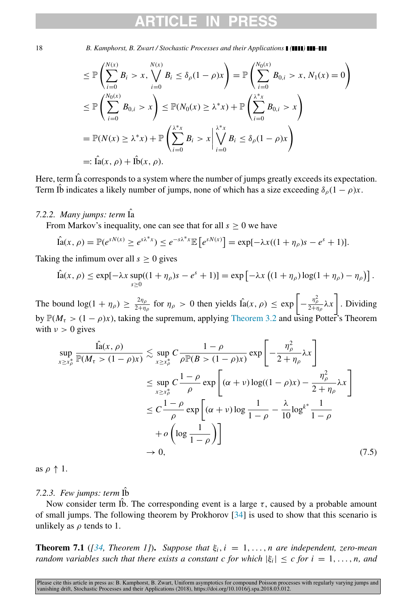$$
\leq \mathbb{P}\left(\sum_{i=0}^{N(x)} B_i > x, \bigvee_{i=0}^{N(x)} B_i \leq \delta_\rho (1-\rho)x\right) = \mathbb{P}\left(\sum_{i=0}^{N_0(x)} B_{0,i} > x, N_1(x) = 0\right)
$$
\n
$$
\leq \mathbb{P}\left(\sum_{i=0}^{N_0(x)} B_{0,i} > x\right) \leq \mathbb{P}(N_0(x) \geq \lambda^* x) + \mathbb{P}\left(\sum_{i=0}^{\lambda^* x} B_{0,i} > x\right)
$$
\n
$$
= \mathbb{P}(N(x) \geq \lambda^* x) + \mathbb{P}\left(\sum_{i=0}^{\lambda^* x} B_i > x \middle| \bigvee_{i=0}^{\lambda^* x} B_i \leq \delta_\rho (1-\rho)x\right)
$$
\n
$$
=:\hat{\text{Ia}}(x,\rho) + \hat{\text{Ib}}(x,\rho).
$$

Here, term  $\hat{I}$  a corresponds to a system where the number of jumps greatly exceeds its expectation. Term Ib indicates a likely number of jumps, none of which has a size exceeding  $\delta_{\rho}(1-\rho)x$ .

## *7.2.2. Many jumps: term* ˆIa

From Markov's inequality, one can see that for all  $s \geq 0$  we have

$$
\hat{\mathrm{la}}(x,\,\rho)=\mathbb{P}(e^{sN(x)}\geq e^{s\lambda^*x})\leq e^{-s\lambda^*x}\mathbb{E}\left[e^{sN(x)}\right]=\exp[-\lambda x((1+\eta_\rho)s-e^s+1)].
$$

Taking the infimum over all  $s \geq 0$  gives

$$
\hat{\mathrm{la}}(x,\rho) \leq \exp[-\lambda x \sup_{s\geq 0}((1+\eta_\rho)s-e^s+1)] = \exp[-\lambda x ((1+\eta_\rho)\log(1+\eta_\rho)-\eta_\rho)].
$$

The bound  $\log(1 + \eta_{\rho}) \geq \frac{2\eta_{\rho}}{2+n}$  $rac{2\eta_{\rho}}{2+\eta_{\rho}}$  for  $\eta_{\rho} > 0$  then yields  $\hat{I}_a(x, \rho) \leq \exp \left[-\frac{\eta_{\rho}^2}{2+\eta_{\rho}}\lambda x\right]$ . Dividing by  $\mathbb{P}(M_\tau > (1 - \rho)x)$ , taking the supremum, applying [Theorem 3.2](#page-4-1) and using Potter's Theorem with  $v > 0$  gives

<span id="page-17-0"></span>
$$
\sup_{x \ge x_{\rho}^{*}} \frac{\hat{\text{la}}(x, \rho)}{\mathbb{P}(M_{\tau} > (1 - \rho)x)} \lesssim \sup_{x \ge x_{\rho}^{*}} C \frac{1 - \rho}{\rho \mathbb{P}(B > (1 - \rho)x)} \exp\left[ -\frac{\eta_{\rho}^{2}}{2 + \eta_{\rho}} \lambda x \right]
$$
  

$$
\le \sup_{x \ge x_{\rho}^{*}} C \frac{1 - \rho}{\rho} \exp\left[ (\alpha + \nu) \log((1 - \rho)x) - \frac{\eta_{\rho}^{2}}{2 + \eta_{\rho}} \lambda x \right]
$$
  

$$
\le C \frac{1 - \rho}{\rho} \exp\left[ (\alpha + \nu) \log \frac{1}{1 - \rho} - \frac{\lambda}{10} \log^{k^{*}} \frac{1}{1 - \rho} + o\left( \log \frac{1}{1 - \rho} \right) \right]
$$
  

$$
\to 0, \tag{7.5}
$$

as  $\rho \uparrow 1$ .

## *7.2.3. Few jumps: term* ˆIb

Now consider term Ib. The corresponding event is a large  $\tau$ , caused by a probable amount of small jumps. The following theorem by Prokhorov [\[34\]](#page-31-7) is used to show that this scenario is unlikely as  $\rho$  tends to 1.

**Theorem 7.1** (*[\[34,](#page-31-7) Theorem 1]*). *Suppose that*  $\xi_i$ ,  $i = 1, \ldots, n$  are independent, zero-mean *random variables such that there exists a constant c for which*  $|\xi_i| \leq c$  *for*  $i = 1, \ldots, n$ , and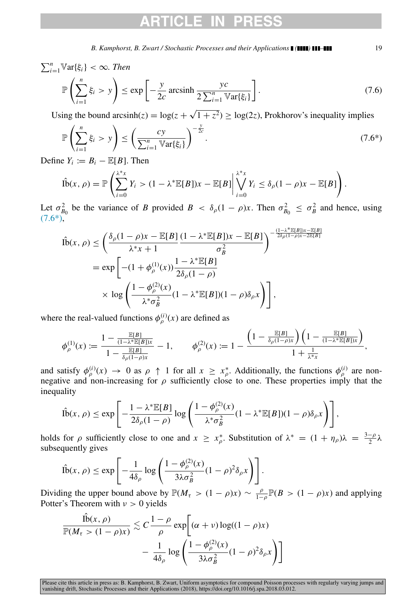# CLE.

*B. Kamphorst, B. Zwart / Stochastic Processes and their Applications* **(** *(111)* **11–111 19** 

$$
\sum_{i=1}^{n} \mathbb{V}\text{ar}\{\xi_i\} < \infty. \text{ Then}
$$
\n
$$
\mathbb{P}\left(\sum_{i=1}^{n} \xi_i > y\right) \le \exp\left[-\frac{y}{2c} \operatorname{arcsinh}\frac{yc}{2\sum_{i=1}^{n} \mathbb{V}\text{ar}\{\xi_i\}}\right]. \tag{7.6}
$$

Using the bound arcsinh( $z$ ) = log( $z$  +  $1 + z^2$   $\geq$  log(2*z*), Prokhorov's inequality implies

<span id="page-18-0"></span>
$$
\mathbb{P}\left(\sum_{i=1}^{n}\xi_{i} > y\right) \leq \left(\frac{cy}{\sum_{i=1}^{n} \mathbb{V}\text{ar}\{\xi_{i}\}}\right)^{-\frac{y}{2c}}.\tag{7.6*}
$$

Define  $Y_i := B_i - \mathbb{E}[B]$ . Then

$$
\hat{\text{lb}}(x,\,\rho)=\mathbb{P}\left(\sum_{i=0}^{\lambda^*x}Y_i>(1-\lambda^*\mathbb{E}[B])x-\mathbb{E}[B]\middle|\bigvee_{i=0}^{\lambda^*x}Y_i\leq \delta_\rho(1-\rho)x-\mathbb{E}[B]\right).
$$

Let  $\sigma_{B_0}^2$  be the variance of *B* provided  $B < \delta_\rho (1 - \rho)x$ . Then  $\sigma_{B_0}^2 \leq \sigma_B^2$  and hence, using  $(7.6*)$ ,

$$
\hat{\text{lb}}(x,\rho) \le \left(\frac{\delta_{\rho}(1-\rho)x - \mathbb{E}[B]}{\lambda^*x + 1} \frac{(1-\lambda^*\mathbb{E}[B])x - \mathbb{E}[B]}{\sigma_B^2}\right)^{-\frac{(1-\lambda^*\mathbb{E}[B])x - \mathbb{E}[B]}{2\delta_{\rho}(1-\rho)x - 2\mathbb{E}[B]}}
$$
\n
$$
= \exp\left[-(1+\phi_{\rho}^{(1)}(x))\frac{1-\lambda^*\mathbb{E}[B]}{2\delta_{\rho}(1-\rho)}\right]
$$
\n
$$
\times \log\left(\frac{1-\phi_{\rho}^{(2)}(x)}{\lambda^*\sigma_B^2}(1-\lambda^*\mathbb{E}[B])(1-\rho)\delta_{\rho}x\right)\right],
$$

where the real-valued functions  $\phi_{\rho}^{(i)}(x)$  are defined as

$$
\phi_{\rho}^{(1)}(x):=\frac{1-\frac{\mathbb{E}[B]}{(1-\lambda^*\mathbb{E}[B])x}}{1-\frac{\mathbb{E}[B]}{\delta_{\rho}(1-\rho)x}}-1, \qquad \phi_{\rho}^{(2)}(x):=1-\frac{\left(1-\frac{\mathbb{E}[B]}{\delta_{\rho}(1-\rho)x}\right)\left(1-\frac{\mathbb{E}[B]}{(1-\lambda^*\mathbb{E}[B])x}\right)}{1+\frac{1}{\lambda^*x}},
$$

and satisfy  $\phi_{\rho}^{(i)}(x) \to 0$  as  $\rho \uparrow 1$  for all  $x \geq x_{\rho}^*$ . Additionally, the functions  $\phi_{\rho}^{(i)}$  are nonnegative and non-increasing for  $\rho$  sufficiently close to one. These properties imply that the inequality

$$
\hat{\text{lb}}(x,\rho) \le \exp\left[-\frac{1-\lambda^* \mathbb{E}[B]}{2\delta_\rho (1-\rho)}\log\left(\frac{1-\phi_\rho^{(2)}(x)}{\lambda^* \sigma_B^2}(1-\lambda^* \mathbb{E}[B])(1-\rho)\delta_\rho x\right)\right],
$$

holds for  $\rho$  sufficiently close to one and  $x \ge x_{\rho}^*$ . Substitution of  $\lambda^* = (1 + \eta_{\rho})\lambda = \frac{3-\rho}{2}$  $\frac{-\rho}{2}$ λ subsequently gives

$$
\hat{\text{lb}}(x,\rho) \le \exp\left[-\frac{1}{4\delta_{\rho}}\log\left(\frac{1-\phi_{\rho}^{(2)}(x)}{3\lambda\sigma_B^2}(1-\rho)^2\delta_{\rho}x\right)\right].
$$

Dividing the upper bound above by  $\mathbb{P}(M_\tau > (1 - \rho)x) \sim \frac{\rho}{1 - \rho} \mathbb{P}(B > (1 - \rho)x)$  and applying Potter's Theorem with  $v > 0$  yields

$$
\frac{\hat{\text{lb}}(x,\rho)}{\mathbb{P}(M_{\tau} > (1-\rho)x)} \lesssim C \frac{1-\rho}{\rho} \exp\left[ (\alpha + \nu) \log((1-\rho)x) - \frac{1}{4\delta_{\rho}} \log \left( \frac{1-\phi_{\rho}^{(2)}(x)}{3\lambda \sigma_B^2} (1-\rho)^2 \delta_{\rho} x \right) \right]
$$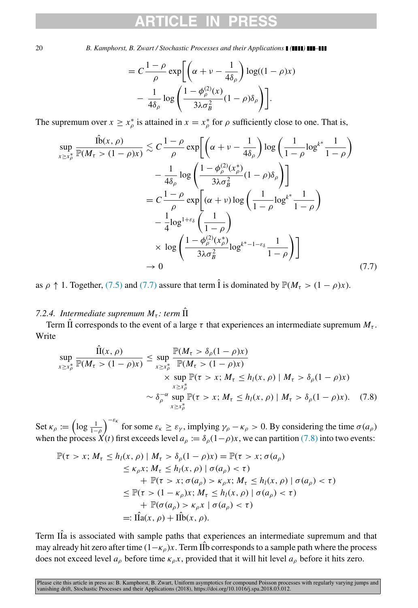$$
= C \frac{1 - \rho}{\rho} \exp \left[ \left( \alpha + \nu - \frac{1}{4\delta_{\rho}} \right) \log((1 - \rho)x) - \frac{1}{4\delta_{\rho}} \log \left( \frac{1 - \phi_{\rho}^{(2)}(x)}{3\lambda \sigma_B^2} (1 - \rho)\delta_{\rho} \right) \right].
$$

The supremum over  $x \ge x_\rho^*$  is attained in  $x = x_\rho^*$  for  $\rho$  sufficiently close to one. That is,

<span id="page-19-1"></span>
$$
\sup_{x \ge x_{\rho}^{*}} \frac{\hat{\mathbb{1}}(x, \rho)}{\mathbb{P}(M_{\tau} > (1 - \rho)x)} \lesssim C \frac{1 - \rho}{\rho} \exp\left[\left(\alpha + \nu - \frac{1}{4\delta_{\rho}}\right) \log\left(\frac{1}{1 - \rho} \log^{k^{*}} \frac{1}{1 - \rho}\right) - \frac{1}{4\delta_{\rho}} \log\left(\frac{1 - \phi_{\rho}^{(2)}(x_{\rho}^{*})}{3\lambda \sigma_{B}^{2}} (1 - \rho)\delta_{\rho}\right)\right] - C \frac{1 - \rho}{\rho} \exp\left[(\alpha + \nu) \log\left(\frac{1}{1 - \rho} \log^{k^{*}} \frac{1}{1 - \rho}\right) - \frac{1}{4} \log^{1 + \varepsilon_{\delta}}\left(\frac{1}{1 - \rho}\right) - \frac{1}{3\lambda \sigma_{B}^{2}} \log^{k^{*} - 1 - \varepsilon_{\delta}} \frac{1}{1 - \rho}\right)\right]
$$
\n
$$
\to 0 \tag{7.7}
$$

<span id="page-19-0"></span>as  $\rho \uparrow 1$ . Together, [\(7.5\)](#page-17-0) and [\(7.7\)](#page-19-1) assure that term  $\hat{I}$  is dominated by  $\mathbb{P}(M_\tau > (1 - \rho)x)$ .

## *7.2.4. Intermediate supremum*  $M_{\tau}$ *: term*  $\hat{\Pi}$

Term  $\hat{\Pi}$  corresponds to the event of a large  $\tau$  that experiences an intermediate supremum  $M_{\tau}$ . Write

<span id="page-19-2"></span>
$$
\sup_{x \ge x_{\rho}^{*}} \frac{\hat{\Pi}(x, \rho)}{\mathbb{P}(M_{\tau} > (1 - \rho)x)} \le \sup_{x \ge x_{\rho}^{*}} \frac{\mathbb{P}(M_{\tau} > \delta_{\rho}(1 - \rho)x)}{\mathbb{P}(M_{\tau} > (1 - \rho)x)} \times \sup_{x \ge x_{\rho}^{*}} \mathbb{P}(\tau > x; M_{\tau} \le h_{l}(x, \rho) | M_{\tau} > \delta_{\rho}(1 - \rho)x) \times \delta_{\rho}^{-\alpha} \sup_{x \ge x_{\rho}^{*}} \mathbb{P}(\tau > x; M_{\tau} \le h_{l}(x, \rho) | M_{\tau} > \delta_{\rho}(1 - \rho)x). \tag{7.8}
$$

Set  $\kappa_\rho := \left(\log \frac{1}{1-\rho}\right)^{-\varepsilon_\kappa}$  for some  $\varepsilon_\kappa \ge \varepsilon_\gamma$ , implying  $\gamma_\rho - \kappa_\rho > 0$ . By considering the time  $\sigma(a_\rho)$ when the process  $\hat{X}(t)$  first exceeds level  $a_{\rho} := \delta_{\rho}(1-\rho)x$ , we can partition [\(7.8\)](#page-19-2) into two events:

$$
\mathbb{P}(\tau > x; M_{\tau} \le h_{l}(x, \rho) | M_{\tau} > \delta_{\rho}(1 - \rho)x) = \mathbb{P}(\tau > x; \sigma(a_{\rho})
$$
  
\n
$$
\le \kappa_{\rho} x; M_{\tau} \le h_{l}(x, \rho) | \sigma(a_{\rho}) < \tau)
$$
  
\n
$$
+ \mathbb{P}(\tau > x; \sigma(a_{\rho}) > \kappa_{\rho} x; M_{\tau} \le h_{l}(x, \rho) | \sigma(a_{\rho}) < \tau)
$$
  
\n
$$
\le \mathbb{P}(\tau > (1 - \kappa_{\rho})x; M_{\tau} \le h_{l}(x, \rho) | \sigma(a_{\rho}) < \tau)
$$
  
\n
$$
+ \mathbb{P}(\sigma(a_{\rho}) > \kappa_{\rho} x | \sigma(a_{\rho}) < \tau)
$$
  
\n
$$
=: \hat{\Pi}a(x, \rho) + \hat{\Pi}b(x, \rho).
$$

Term IIa is associated with sample paths that experiences an intermediate supremum and that may already hit zero after time  $(1-\kappa_\rho)x$ . Term IID corresponds to a sample path where the process does not exceed level  $a_\rho$  before time  $\kappa_\rho x$ , provided that it will hit level  $a_\rho$  before it hits zero.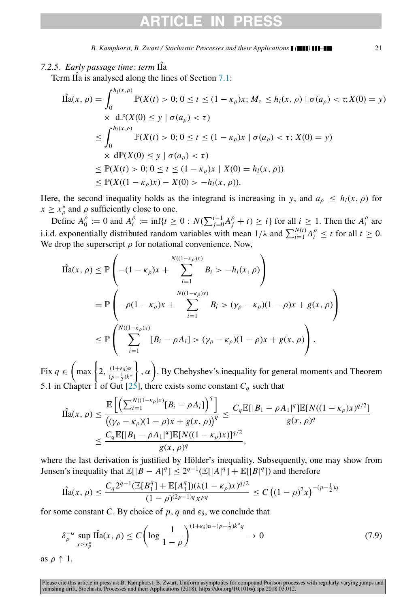# CLE.

*B. Kamphorst, B. Zwart / Stochastic Processes and their Applications ( ) –* 21

Term  $\hat{II}$  is analysed along the lines of Section [7.1:](#page-14-0)

$$
\hat{\Pi}a(x, \rho) = \int_0^{h_l(x, \rho)} \mathbb{P}(X(t) > 0; 0 \le t \le (1 - \kappa_\rho)x; M_\tau \le h_l(x, \rho) \mid \sigma(a_\rho) < \tau; X(0) = y)
$$
\n
$$
\times \text{ d}\mathbb{P}(X(0) \le y \mid \sigma(a_\rho) < \tau)
$$
\n
$$
\le \int_0^{h_l(x, \rho)} \mathbb{P}(X(t) > 0; 0 \le t \le (1 - \kappa_\rho)x \mid \sigma(a_\rho) < \tau; X(0) = y)
$$
\n
$$
\times \text{ d}\mathbb{P}(X(0) \le y \mid \sigma(a_\rho) < \tau)
$$
\n
$$
\le \mathbb{P}(X(t) > 0; 0 \le t \le (1 - \kappa_\rho)x \mid X(0) = h_l(x, \rho))
$$
\n
$$
\le \mathbb{P}(X((1 - \kappa_\rho)x) - X(0) > -h_l(x, \rho)).
$$

Here, the second inequality holds as the integrand is increasing in *y*, and  $a<sub>o</sub> \leq h<sub>l</sub>(x, \rho)$  for  $x \geq x_{\rho}^*$  and  $\rho$  sufficiently close to one.

Define  $A_0^{\rho} := 0$  and  $A_i^{\rho} := \inf\{t \ge 0 : N(\sum_{j=0}^{i-1} A_j^{\rho} + t) \ge i\}$  for all  $i \ge 1$ . Then the  $A_i^{\rho}$  are i.i.d. exponentially distributed random variables with mean  $1/\lambda$  and  $\sum_{i=1}^{N(t)} A_i^{\rho} \le t$  for all  $t \ge 0$ . We drop the superscript  $\rho$  for notational convenience. Now,

$$
\hat{\text{IIa}}(x, \rho) \le \mathbb{P}\left(-(1 - \kappa_{\rho})x + \sum_{i=1}^{N((1 - \kappa_{\rho})x)} B_i > -h_l(x, \rho)\right)
$$
\n
$$
= \mathbb{P}\left(-\rho(1 - \kappa_{\rho})x + \sum_{i=1}^{N((1 - \kappa_{\rho})x)} B_i > (\gamma_{\rho} - \kappa_{\rho})(1 - \rho)x + g(x, \rho)\right)
$$
\n
$$
\le \mathbb{P}\left(\sum_{i=1}^{N((1 - \kappa_{\rho})x)} [B_i - \rho A_i] > (\gamma_{\rho} - \kappa_{\rho})(1 - \rho)x + g(x, \rho)\right).
$$

Fix  $q \in \left( \max \left\{ 2, \frac{(1+\varepsilon_{\delta})\alpha}{(1-\varepsilon_{\delta})^{1/2}} \right\} \right)$  $(p-\frac{1}{2})k^*$  $\langle , \alpha \rangle$ . By Chebyshev's inequality for general moments and Theorem 5.1 in Chapter 1 of Gut [\[25\]](#page-30-23), there exists some constant  $C_q$  such that

$$
\hat{\text{IIa}}(x,\rho) \leq \frac{\mathbb{E}\left[\left(\sum_{i=1}^{N((1-\kappa_{\rho})x)} [B_i - \rho A_i]\right)^q\right]}{\left((\gamma_{\rho} - \kappa_{\rho})(1 - \rho)x + g(x,\rho)\right)^q} \leq \frac{C_q \mathbb{E}[|B_1 - \rho A_1|^q] \mathbb{E}[N((1-\kappa_{\rho})x)^{q/2}]}{g(x,\rho)^q} \leq \frac{C_q \mathbb{E}[|B_1 - \rho A_1|^q] \mathbb{E}[N((1-\kappa_{\rho})x)]^{q/2}}{g(x,\rho)^q},
$$

where the last derivation is justified by Hölder's inequality. Subsequently, one may show from Jensen's inequality that  $\mathbb{E}[|B - A|^q] \leq 2^{q-1}(\mathbb{E}[|A|^q] + \mathbb{E}[|B|^q])$  and therefore

$$
\hat{\text{IIa}}(x,\rho) \le \frac{C_q 2^{q-1} (\mathbb{E}[B_1^q] + \mathbb{E}[A_1^q])(\lambda (1 - \kappa_\rho) x)^{q/2}}{(1 - \rho)^{(2\rho - 1)q} x^{pq}} \le C \left( (1 - \rho)^2 x \right)^{-(\rho - \frac{1}{2})q}
$$

for some constant *C*. By choice of  $p$ ,  $q$  and  $\varepsilon_{\delta}$ , we conclude that

$$
\delta_{\rho}^{-\alpha} \sup_{x \ge x_{\rho}^*} \hat{\text{Ifa}}(x, \rho) \le C \left( \log \frac{1}{1 - \rho} \right)^{(1 + \varepsilon_{\delta})\alpha - (p - \frac{1}{2})k^*q} \to 0 \tag{7.9}
$$

as  $\rho \uparrow 1$ .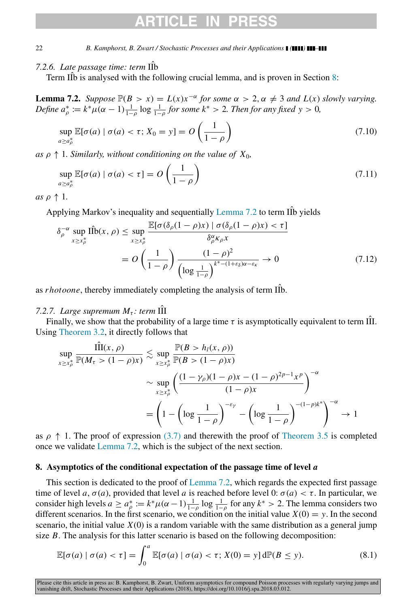## *7.2.6. Late passage time: term* IIb

Term  $\hat{II}$ b is analysed with the following crucial lemma, and is proven in Section [8:](#page-21-0)

<span id="page-21-1"></span>**Lemma 7.2.** *Suppose*  $\mathbb{P}(B > x) = L(x)x^{-\alpha}$  *for some*  $\alpha > 2$ ,  $\alpha \neq 3$  *and*  $L(x)$  *slowly varying. Define*  $a_{\rho}^* := k^* \mu(\alpha - 1) \frac{1}{1-\rho} \log \frac{1}{1-\rho}$  *for some*  $k^* > 2$ *. Then for any fixed*  $y > 0$ *,* 

$$
\sup_{a \ge a_p^*} \mathbb{E}[\sigma(a) \mid \sigma(a) < \tau; X_0 = y] = O\left(\frac{1}{1 - \rho}\right) \tag{7.10}
$$

as  $\rho \uparrow 1$ *. Similarly, without conditioning on the value of*  $X_0$ *,* 

$$
\sup_{a \ge a_{\rho}^*} \mathbb{E}[\sigma(a) \mid \sigma(a) < \tau] = O\left(\frac{1}{1-\rho}\right) \tag{7.11}
$$

*as*  $\rho \uparrow 1$ *.* 

Applying Markov's inequality and sequentially Lemma  $7.2$  to term IIb yields

$$
\delta_{\rho}^{-\alpha} \sup_{x \ge x_{\rho}^{*}} \hat{\Pi b}(x, \rho) \le \sup_{x \ge x_{\rho}^{*}} \frac{\mathbb{E}[\sigma(\delta_{\rho}(1-\rho)x) | \sigma(\delta_{\rho}(1-\rho)x) < \tau]}{\delta_{\rho}^{\alpha} \kappa_{\rho} x} = O\left(\frac{1}{1-\rho}\right) \frac{(1-\rho)^{2}}{\left(\log \frac{1}{1-\rho}\right)^{k^{*}-(1+\varepsilon_{\delta})\alpha-\varepsilon_{\kappa}}} \to 0 \tag{7.12}
$$

<span id="page-21-2"></span>as *rhotoone*, thereby immediately completing the analysis of term IIb.

## *7.2.7. Large supremum*  $M_{\tau}$ *: term* III

Finally, we show that the probability of a large time  $\tau$  is asymptotically equivalent to term III. Using [Theorem 3.2,](#page-4-1) it directly follows that

$$
\sup_{x \ge x_{\rho}^{*}} \frac{\hat{\Pi}(x, \rho)}{\mathbb{P}(M_{\tau} > (1 - \rho)x)} \lesssim \sup_{x \ge x_{\rho}^{*}} \frac{\mathbb{P}(B > h_{l}(x, \rho))}{\mathbb{P}(B > (1 - \rho)x)} \sim \sup_{x \ge x_{\rho}^{*}} \left( \frac{(1 - \gamma_{\rho})(1 - \rho)x - (1 - \rho)^{2p-1}x^{p}}{(1 - \rho)x} \right)^{-\alpha} \n= \left( 1 - \left( \log \frac{1}{1 - \rho} \right)^{-\epsilon_{\gamma}} - \left( \log \frac{1}{1 - \rho} \right)^{-(1 - p)k^{*}} \right)^{-\alpha} \to 1
$$

as  $\rho \uparrow 1$ . The proof of expression [\(3.7\)](#page-5-4) and therewith the proof of [Theorem 3.5](#page-5-0) is completed once we validate [Lemma 7.2,](#page-21-1) which is the subject of the next section.

### <span id="page-21-0"></span>8. Asymptotics of the conditional expectation of the passage time of level *a*

This section is dedicated to the proof of [Lemma 7.2,](#page-21-1) which regards the expected first passage time of level *a*,  $\sigma(a)$ , provided that level *a* is reached before level 0:  $\sigma(a) < \tau$ . In particular, we consider high levels  $a \ge a_p^* := k^* \mu (\alpha - 1) \frac{1}{1-\rho} \log \frac{1}{1-\rho}$  for any  $k^* > 2$ . The lemma considers two different scenarios. In the first scenario, we condition on the initial value  $X(0) = y$ . In the second scenario, the initial value  $X(0)$  is a random variable with the same distribution as a general jump size *B*. The analysis for this latter scenario is based on the following decomposition:

<span id="page-21-3"></span>
$$
\mathbb{E}[\sigma(a) \mid \sigma(a) < \tau] = \int_0^a \mathbb{E}[\sigma(a) \mid \sigma(a) < \tau; X(0) = y] \, d\mathbb{P}(B \le y). \tag{8.1}
$$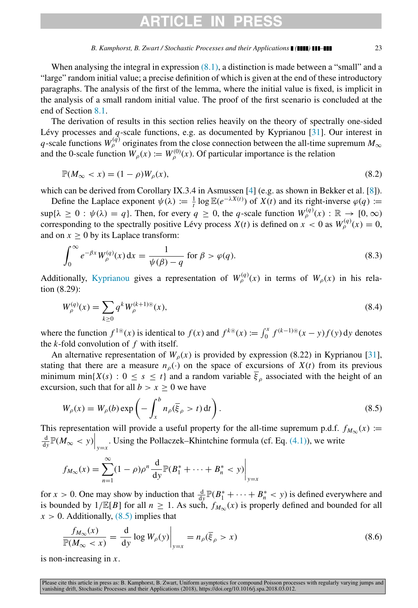# **RTICLE IN**

#### *B. Kamphorst, B. Zwart / Stochastic Processes and their Applications ( ) –* 23

When analysing the integral in expression  $(8.1)$ , a distinction is made between a "small" and a "large" random initial value; a precise definition of which is given at the end of these introductory paragraphs. The analysis of the first of the lemma, where the initial value is fixed, is implicit in the analysis of a small random initial value. The proof of the first scenario is concluded at the end of Section [8.1.](#page-23-0)

The derivation of results in this section relies heavily on the theory of spectrally one-sided Lévy processes and  $q$ -scale functions, e.g. as documented by Kyprianou [\[31\]](#page-31-0). Our interest in *q*-scale functions  $W_{\rho}^{(q)}$  originates from the close connection between the all-time supremum  $M_{\infty}$ and the 0-scale function  $W_{\rho}(x) := W_{\rho}^{(0)}(x)$ . Of particular importance is the relation

<span id="page-22-2"></span>
$$
\mathbb{P}(M_{\infty} < x) = (1 - \rho)W_{\rho}(x),\tag{8.2}
$$

which can be derived from Corollary IX.3.4 in Asmussen [\[4\]](#page-30-20) (e.g. as shown in Bekker et al. [\[8\]](#page-30-24)).

Define the Laplace exponent  $\psi(\lambda) := \frac{1}{t} \log \mathbb{E}(e^{-\lambda X(t)})$  of  $X(t)$  and its right-inverse  $\varphi(q) :=$  $\sup{\{\lambda \geq 0 : \psi(\lambda) = q\}}$ . Then, for every  $q \geq 0$ , the *q*-scale function  $W_{\rho}^{(q)}(x) : \mathbb{R} \to [0, \infty)$ corresponding to the spectrally positive Lévy process  $X(t)$  is defined on  $x < 0$  as  $W_{\rho}^{(q)}(x) = 0$ , and on  $x > 0$  by its Laplace transform:

$$
\int_0^\infty e^{-\beta x} W_\rho^{(q)}(x) dx = \frac{1}{\psi(\beta) - q} \text{ for } \beta > \varphi(q). \tag{8.3}
$$

Additionally, [Kyprianou](#page-31-0) gives a representation of  $W_{\rho}^{(q)}(x)$  in terms of  $W_{\rho}(x)$  in his relation (8.29):

<span id="page-22-1"></span>
$$
W_{\rho}^{(q)}(x) = \sum_{k \ge 0} q^k W_{\rho}^{(k+1)\circledast}(x),\tag{8.4}
$$

where the function  $f^{1\circledast}(x)$  is identical to  $f(x)$  and  $f^{k\circledast}(x) := \int_0^x f^{(k-1)\circledast}(x-y)f(y) dy$  denotes the *k*-fold convolution of *f* with itself.

An alternative representation of  $W_{\rho}(x)$  is provided by expression (8.22) in Kyprianou [\[31\]](#page-31-0), stating that there are a measure  $n<sub>o</sub>(.)$  on the space of excursions of  $X(t)$  from its previous minimum min{*X*(*s*) :  $0 \le s \le t$ } and a random variable  $\overline{\xi}_{\rho}$  associated with the height of an excursion, such that for all  $b > x > 0$  we have

<span id="page-22-0"></span>
$$
W_{\rho}(x) = W_{\rho}(b) \exp\left(-\int_{x}^{b} n_{\rho}(\overline{\xi}_{\rho} > t) dt\right).
$$
\n(8.5)

This representation will provide a useful property for the all-time supremum p.d.f.  $f_{M_{\infty}}(x) :=$  $\frac{d}{dy}$   $\mathbb{P}(M_{\infty} < y) \Big|_{y=x}$ . Using the Pollaczek–Khintchine formula (cf. Eq. [\(4.1\)\)](#page-7-4), we write

$$
f_{M_{\infty}}(x) = \sum_{n=1}^{\infty} (1 - \rho)\rho^{n} \frac{d}{dy} \mathbb{P}(B_{1}^{*} + \dots + B_{n}^{*} < y) \bigg|_{y=x}
$$

for *x* > 0. One may show by induction that  $\frac{d}{dy} \mathbb{P}(B_1^* + \cdots + B_n^* < y)$  is defined everywhere and is bounded by  $1/\mathbb{E}[B]$  for all  $n \ge 1$ . As such,  $f_{M_{\infty}}(x)$  is properly defined and bounded for all  $x > 0$ . Additionally,  $(8.5)$  implies that

<span id="page-22-3"></span>
$$
\frac{f_{M_{\infty}}(x)}{\mathbb{P}(M_{\infty} < x)} = \frac{\mathrm{d}}{\mathrm{d}y} \log W_{\rho}(y) \bigg|_{y=x} = n_{\rho}(\overline{\xi}_{\rho} > x) \tag{8.6}
$$

is non-increasing in *x*.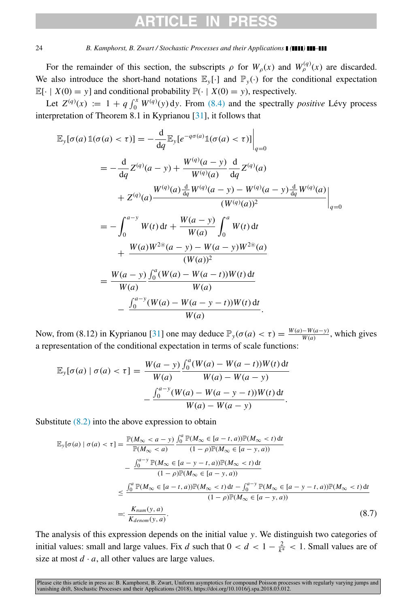# ARTICI F IN

### 24 *B. Kamphorst, B. Zwart / Stochastic Processes and their Applications ( ) –*

For the remainder of this section, the subscripts  $\rho$  for  $W_{\rho}(x)$  and  $W_{\rho}^{(q)}(x)$  are discarded. We also introduce the short-hand notations  $\mathbb{E}_{\nu}[\cdot]$  and  $\mathbb{P}_{\nu}(\cdot)$  for the conditional expectation  $\mathbb{E}[\cdot | X(0) = y]$  and conditional probability  $\mathbb{P}(\cdot | X(0) = y)$ , respectively.

Let  $Z^{(q)}(x) := 1 + q \int_0^x W^{(q)}(y) dy$ . From [\(8.4\)](#page-22-1) and the spectrally *positive* Lévy process interpretation of Theorem 8.1 in Kyprianou [\[31\]](#page-31-0), it follows that

$$
\mathbb{E}_{y}[\sigma(a)\mathbb{1}(\sigma(a) < \tau)] = -\frac{d}{dq} \mathbb{E}_{y}[e^{-q\sigma(a)}\mathbb{1}(\sigma(a) < \tau)] \Big|_{q=0}
$$
\n
$$
= -\frac{d}{dq} Z^{(q)}(a - y) + \frac{W^{(q)}(a - y)}{W^{(q)}(a)} \frac{d}{dq} Z^{(q)}(a)
$$
\n
$$
+ Z^{(q)}(a) \frac{W^{(q)}(a)\frac{d}{dq}W^{(q)}(a - y) - W^{(q)}(a - y)\frac{d}{dq}W^{(q)}(a)}{(W^{(q)}(a))^{2}} \Big|_{q=0}
$$
\n
$$
= -\int_{0}^{a - y} W(t) dt + \frac{W(a - y)}{W(a)} \int_{0}^{a} W(t) dt
$$
\n
$$
+ \frac{W(a)W^{2}(\bar{a} - y) - W(a - y)W^{2}(\bar{a})}{(W(a))^{2}}
$$
\n
$$
= \frac{W(a - y)}{W(a)} \frac{\int_{0}^{a} (W(a) - W(a - t))W(t) dt}{W(a)}
$$
\n
$$
- \frac{\int_{0}^{a - y} (W(a) - W(a - y - t))W(t) dt}{W(a)}
$$

Now, from (8.12) in Kyprianou [\[31\]](#page-31-0) one may deduce  $\mathbb{P}_y(\sigma(a) < \tau) = \frac{W(a) - W(a - \tau)}{W(a)}$  $\frac{w(a-y)}{w(a)}$ , which gives a representation of the conditional expectation in terms of scale functions:

$$
\mathbb{E}_{y}[\sigma(a) | \sigma(a) < \tau] = \frac{W(a - y)}{W(a)} \frac{\int_{0}^{a} (W(a) - W(a - t))W(t) \, \mathrm{d}t}{W(a) - W(a - y)} - \frac{\int_{0}^{a - y} (W(a) - W(a - y - t))W(t) \, \mathrm{d}t}{W(a) - W(a - y)}.
$$

Substitute  $(8.2)$  into the above expression to obtain

<span id="page-23-1"></span>
$$
\mathbb{E}_{\mathbf{y}}[\sigma(a) \mid \sigma(a) < \tau] = \frac{\mathbb{P}(M_{\infty} < a - y)}{\mathbb{P}(M_{\infty} < a)} \frac{\int_{0}^{a} \mathbb{P}(M_{\infty} \in [a - t, a)) \mathbb{P}(M_{\infty} < t) \, dt}{(1 - \rho) \mathbb{P}(M_{\infty} \in [a - y, a))} \\ - \frac{\int_{0}^{a - y} \mathbb{P}(M_{\infty} \in [a - y - t, a)) \mathbb{P}(M_{\infty} < t) \, dt}{(1 - \rho) \mathbb{P}(M_{\infty} \in [a - y, a))} \\ \leq \frac{\int_{0}^{a} \mathbb{P}(M_{\infty} \in [a - t, a)) \mathbb{P}(M_{\infty} < t) \, dt - \int_{0}^{a - y} \mathbb{P}(M_{\infty} \in [a - y - t, a)) \mathbb{P}(M_{\infty} < t) \, dt}{(1 - \rho) \mathbb{P}(M_{\infty} \in [a - y, a))} \\ =: \frac{K_{num}(y, a)}{K_{denom}(y, a)} \tag{8.7}
$$

<span id="page-23-0"></span>The analysis of this expression depends on the initial value *y*. We distinguish two categories of initial values: small and large values. Fix *d* such that  $0 < d < 1 - \frac{2}{k^*} < 1$ . Small values are of size at most  $d \cdot a$ , all other values are large values.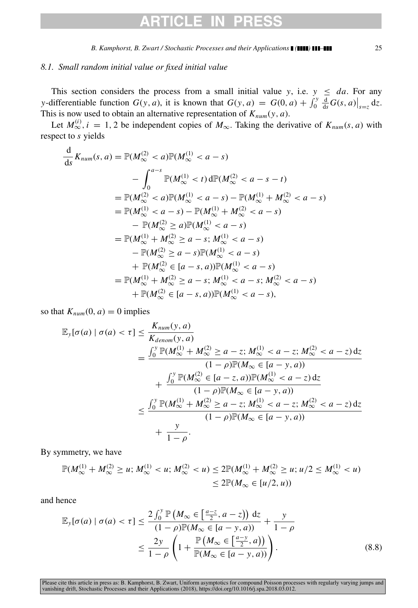## RTICI FI

*B. Kamphorst, B. Zwart / Stochastic Processes and their Applications ( ) –* 25

## *8.1. Small random initial value or fixed initial value*

This section considers the process from a small initial value *y*, i.e.  $y \leq da$ . For any *y*-differentiable function  $G(y, a)$ , it is known that  $G(y, a) = G(0, a) + \int_0^y \frac{d}{ds} G(s, a)|_{s=\overline{z}} dz$ . This is now used to obtain an alternative representation of  $K_{num}(y, a)$ .

Let  $M_{\infty}^{(i)}$ ,  $i = 1, 2$  be independent copies of  $M_{\infty}$ . Taking the derivative of  $K_{num}(s, a)$  with respect to *s* yields

$$
\frac{d}{ds} K_{num}(s, a) = \mathbb{P}(M_{\infty}^{(2)} < a) \mathbb{P}(M_{\infty}^{(1)} < a - s)
$$
\n
$$
- \int_{0}^{a-s} \mathbb{P}(M_{\infty}^{(1)} < t) d\mathbb{P}(M_{\infty}^{(2)} < a - s - t)
$$
\n
$$
= \mathbb{P}(M_{\infty}^{(2)} < a) \mathbb{P}(M_{\infty}^{(1)} < a - s) - \mathbb{P}(M_{\infty}^{(1)} + M_{\infty}^{(2)} < a - s)
$$
\n
$$
= \mathbb{P}(M_{\infty}^{(1)} < a - s) - \mathbb{P}(M_{\infty}^{(1)} + M_{\infty}^{(2)} < a - s)
$$
\n
$$
- \mathbb{P}(M_{\infty}^{(2)} \ge a) \mathbb{P}(M_{\infty}^{(1)} < a - s)
$$
\n
$$
= \mathbb{P}(M_{\infty}^{(1)} + M_{\infty}^{(2)} \ge a - s; M_{\infty}^{(1)} < a - s)
$$
\n
$$
- \mathbb{P}(M_{\infty}^{(2)} \ge a - s) \mathbb{P}(M_{\infty}^{(1)} < a - s)
$$
\n
$$
+ \mathbb{P}(M_{\infty}^{(2)} \in [a - s, a]) \mathbb{P}(M_{\infty}^{(1)} < a - s; M_{\infty}^{(2)} < a - s)
$$
\n
$$
+ \mathbb{P}(M_{\infty}^{(1)} \neq M_{\infty}^{(2)} \ge a - s; M_{\infty}^{(1)} < a - s; M_{\infty}^{(2)} < a - s)
$$
\n
$$
+ \mathbb{P}(M_{\infty}^{(2)} \in [a - s, a]) \mathbb{P}(M_{\infty}^{(1)} < a - s),
$$

so that  $K_{num}(0, a) = 0$  implies

$$
\mathbb{E}_{y}[\sigma(a) | \sigma(a) < \tau] \leq \frac{K_{num}(y, a)}{K_{denom}(y, a)}
$$
\n
$$
= \frac{\int_{0}^{y} \mathbb{P}(M_{\infty}^{(1)} + M_{\infty}^{(2)} \geq a - z; M_{\infty}^{(1)} < a - z; M_{\infty}^{(2)} < a - z) \, dz}{(1 - \rho)\mathbb{P}(M_{\infty} \in [a - y, a))}
$$
\n
$$
+ \frac{\int_{0}^{y} \mathbb{P}(M_{\infty}^{(2)} \in [a - z, a)) \mathbb{P}(M_{\infty}^{(1)} < a - z) \, dz}{(1 - \rho)\mathbb{P}(M_{\infty} \in [a - y, a))}
$$
\n
$$
\leq \frac{\int_{0}^{y} \mathbb{P}(M_{\infty}^{(1)} + M_{\infty}^{(2)} \geq a - z; M_{\infty}^{(1)} < a - z; M_{\infty}^{(2)} < a - z) \, dz}{(1 - \rho)\mathbb{P}(M_{\infty} \in [a - y, a))}
$$
\n
$$
+ \frac{y}{1 - \rho}.
$$

By symmetry, we have

$$
\mathbb{P}(M_{\infty}^{(1)} + M_{\infty}^{(2)} \ge u; M_{\infty}^{(1)} < u; M_{\infty}^{(2)} < u) \le 2\mathbb{P}(M_{\infty}^{(1)} + M_{\infty}^{(2)} \ge u; u/2 \le M_{\infty}^{(1)} < u)
$$
  

$$
\le 2\mathbb{P}(M_{\infty} \in [u/2, u))
$$

and hence

<span id="page-24-0"></span>
$$
\mathbb{E}_{\mathbf{y}}[\sigma(a) \mid \sigma(a) < \tau] \le \frac{2 \int_0^{\mathbf{y}} \mathbb{P}\left(M_\infty \in \left[\frac{a-z}{2}, a-z\right)\right) \, \mathrm{d}z}{(1-\rho)\mathbb{P}(M_\infty \in [a-y, a))} + \frac{\mathbf{y}}{1-\rho} \\
\le \frac{2\mathbf{y}}{1-\rho} \left(1 + \frac{\mathbb{P}\left(M_\infty \in \left[\frac{a-y}{2}, a\right)\right)}{\mathbb{P}(M_\infty \in [a-y, a))}\right). \tag{8.8}
$$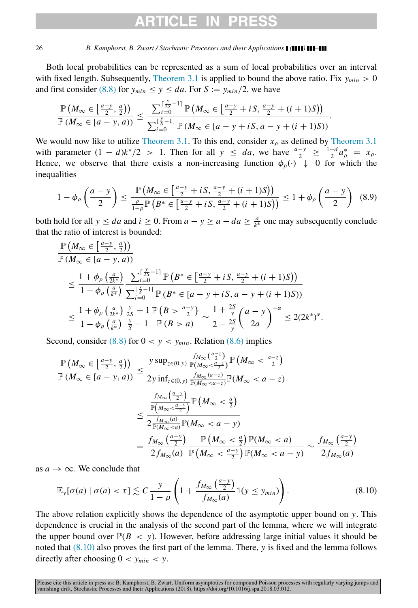# ARTICI F II

#### 26 *B. Kamphorst, B. Zwart / Stochastic Processes and their Applications ( ) –*

Both local probabilities can be represented as a sum of local probabilities over an interval with fixed length. Subsequently, [Theorem 3.1](#page-4-0) is applied to bound the above ratio. Fix  $y_{min} > 0$ and first consider [\(8.8\)](#page-24-0) for  $y_{min} \leq y \leq da$ . For  $S := y_{min}/2$ , we have

$$
\frac{\mathbb{P}\left(M_{\infty}\in\left[\frac{a-y}{2},\frac{a}{2}\right)\right)}{\mathbb{P}\left(M_{\infty}\in\left[a-y,a\right)\right)}\leq\frac{\sum_{i=0}^{\lceil\frac{y}{25}-1\rceil}\mathbb{P}\left(M_{\infty}\in\left[\frac{a-y}{2}+iS,\frac{a-y}{2}+(i+1)S\right)\right)}{\sum_{i=0}^{\lfloor\frac{y}{2}-1\rfloor}\mathbb{P}\left(M_{\infty}\in\left[a-y+iS,a-y+(i+1)S\right)\right)}.
$$

We would now like to utilize [Theorem 3.1.](#page-4-0) To this end, consider  $x_0$  as defined by [Theorem 3.1](#page-4-0) with parameter  $(1 - d)k^*/2 > 1$ . Then for all  $y \le da$ , we have  $\frac{a-y}{2} \ge \frac{1-d}{2}a^*_{\rho} = x_{\rho}$ . Hence, we observe that there exists a non-increasing function  $\phi_{\rho}(\cdot) \downarrow 0$  for which the inequalities

$$
1 - \phi_{\rho}\left(\frac{a - y}{2}\right) \le \frac{\mathbb{P}\left(M_{\infty} \in \left[\frac{a - y}{2} + iS, \frac{a - y}{2} + (i + 1)S\right]\right)}{\frac{\rho}{1 - \rho}\mathbb{P}\left(B^* \in \left[\frac{a - y}{2} + iS, \frac{a - y}{2} + (i + 1)S\right]\right)} \le 1 + \phi_{\rho}\left(\frac{a - y}{2}\right) \tag{8.9}
$$

both hold for all  $y \leq da$  and  $i \geq 0$ . From  $a - y \geq a - da \geq \frac{a}{k^*}$  one may subsequently conclude that the ratio of interest is bounded:

$$
\begin{split} &\frac{\mathbb{P}\left(M_{\infty}\in\left[\frac{a-y}{2},\frac{a}{2}\right)\right)}{\mathbb{P}\left(M_{\infty}\in[a-y,a)\right)} \\ &\leq \frac{1+\phi_{\rho}\left(\frac{a}{2k^{*}}\right)}{1-\phi_{\rho}\left(\frac{a}{k^{*}}\right)} \frac{\sum_{i=0}^{\lceil\frac{y}{25}-1\rceil} \mathbb{P}\left(B^{*}\in\left[\frac{a-y}{2}+iS,\frac{a-y}{2}+(i+1)S\right)\right)}{\sum_{i=0}^{\lfloor\frac{y}{25}-1\rfloor} \mathbb{P}\left(B^{*}\in[a-y+iS,a-y+(i+1)S)\right)} \\ &\leq \frac{1+\phi_{\rho}\left(\frac{a}{2k^{*}}\right)}{1-\phi_{\rho}\left(\frac{a}{k^{*}}\right)} \frac{\sum_{j=0}^{y}{\frac{y}{2j}}}{\sum_{j=0}^{y}{\frac{y-\frac{a-y}{2}}{1-\mathbb{P}\left(B>a\right)}}} \sim \frac{1+\frac{2S}{y}}{2-\frac{2S}{y}} \left(\frac{a-y}{2a}\right)^{-\alpha} \leq 2(2k^{*})^{\alpha}. \end{split}
$$

Second, consider  $(8.8)$  for  $0 < y < y_{min}$ . Relation  $(8.6)$  implies

$$
\frac{\mathbb{P}\left(M_{\infty} \in \left[\frac{a-y}{2}, \frac{a}{2}\right)\right)}{\mathbb{P}\left(M_{\infty} \in [a-y, a)\right)} \leq \frac{y \sup_{z \in (0, y)} \frac{f_{M_{\infty}}\left(\frac{a-z}{2}\right)}{\mathbb{P}\left(M_{\infty} < \frac{a-z}{2}\right)} \mathbb{P}\left(M_{\infty} < a-z\right)}{\frac{f_{M_{\infty}}\left(\frac{a-y}{2}\right)}{\mathbb{P}\left(M_{\infty} < a-z\right)} \mathbb{P}\left(M_{\infty} < a-z\right)} \leq \frac{\frac{f_{M_{\infty}}\left(\frac{a-y}{2}\right)}{\mathbb{P}\left(M_{\infty} < \frac{a-y}{2}\right)} \mathbb{P}\left(M_{\infty} < \frac{a}{2}\right)}{\frac{f_{M_{\infty}}\left(a-y\right)}{2 \mathbb{P}\left(M_{\infty} < a)\mathbb{P}\left(M_{\infty} < a-y\right)}} = \frac{f_{M_{\infty}}\left(\frac{a-y}{2}\right)}{2 f_{M_{\infty}}(a)} \frac{\mathbb{P}\left(M_{\infty} < \frac{a}{2}\right) \mathbb{P}\left(M_{\infty} < a\right)}{\mathbb{P}\left(M_{\infty} < \frac{a-y}{2}\right) \mathbb{P}\left(M_{\infty} < a-y\right)} \sim \frac{f_{M_{\infty}}\left(\frac{a-y}{2}\right)}{2 f_{M_{\infty}}(a)}
$$

as  $a \rightarrow \infty$ . We conclude that

<span id="page-25-0"></span>
$$
\mathbb{E}_{\mathbf{y}}[\sigma(a) \mid \sigma(a) < \tau] \lesssim C \frac{y}{1-\rho} \left( 1 + \frac{f_{M_{\infty}}\left(\frac{a-y}{2}\right)}{f_{M_{\infty}}(a)} \mathbb{1}(y \le y_{min}) \right). \tag{8.10}
$$

The above relation explicitly shows the dependence of the asymptotic upper bound on *y*. This dependence is crucial in the analysis of the second part of the lemma, where we will integrate the upper bound over  $\mathbb{P}(B \le y)$ . However, before addressing large initial values it should be noted that [\(8.10\)](#page-25-0) also proves the first part of the lemma. There, *y* is fixed and the lemma follows directly after choosing  $0 < y_{min} < y$ .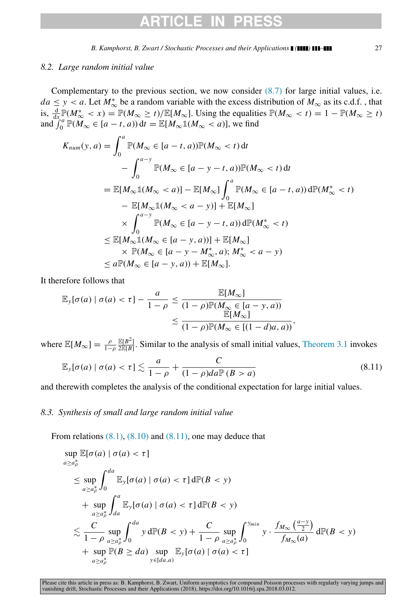## CI E

*B. Kamphorst, B. Zwart / Stochastic Processes and their Applications ( ) –* 27

Complementary to the previous section, we now consider  $(8.7)$  for large initial values, i.e.  $da \leq y < a$ . Let  $M^*_{\infty}$  be a random variable with the excess distribution of  $M_{\infty}$  as its c.d.f., that is,  $\frac{d}{dx} \mathbb{P}(M^*_{\infty} < x) = \mathbb{P}(M_{\infty} \ge t) / \mathbb{E}[M_{\infty}]$ . Using the equalities  $\mathbb{P}(M_{\infty} < t) = 1 - \mathbb{P}(M_{\infty} \ge t)$ and  $\int_0^{\pi} \mathbb{P}(M_\infty \in [a-t, a)) dt = \mathbb{E}[M_\infty \mathbb{1}(M_\infty < a)]$ , we find

$$
K_{num}(y, a) = \int_0^a \mathbb{P}(M_{\infty} \in [a - t, a)) \mathbb{P}(M_{\infty} < t) dt
$$
  
\n
$$
- \int_0^{a - y} \mathbb{P}(M_{\infty} \in [a - y - t, a)) \mathbb{P}(M_{\infty} < t) dt
$$
  
\n
$$
= \mathbb{E}[M_{\infty} \mathbb{1}(M_{\infty} < a)] - \mathbb{E}[M_{\infty}] \int_0^a \mathbb{P}(M_{\infty} \in [a - t, a)) d\mathbb{P}(M_{\infty}^* < t)
$$
  
\n
$$
- \mathbb{E}[M_{\infty} \mathbb{1}(M_{\infty} < a - y)] + \mathbb{E}[M_{\infty}]
$$
  
\n
$$
\times \int_0^{a - y} \mathbb{P}(M_{\infty} \in [a - y - t, a)) d\mathbb{P}(M_{\infty}^* < t)
$$
  
\n
$$
\leq \mathbb{E}[M_{\infty} \mathbb{1}(M_{\infty} \in [a - y, a))] + \mathbb{E}[M_{\infty}]
$$
  
\n
$$
\times \mathbb{P}(M_{\infty} \in [a - y - M_{\infty}^*, a); M_{\infty}^* < a - y)
$$
  
\n
$$
\leq a \mathbb{P}(M_{\infty} \in [a - y, a)) + \mathbb{E}[M_{\infty}].
$$

It therefore follows that

$$
\mathbb{E}_{y}[\sigma(a) | \sigma(a) < \tau] - \frac{a}{1 - \rho} \leq \frac{\mathbb{E}[M_{\infty}]}{(1 - \rho)\mathbb{P}(M_{\infty} \in [a - y, a))} \\ \leq \frac{\mathbb{E}[M_{\infty}]}{(1 - \rho)\mathbb{P}(M_{\infty} \in [(1 - d)a, a))},
$$

where  $\mathbb{E}[M_{\infty}] = \frac{\rho}{1-\rho} \frac{\mathbb{E}[B^2]}{2\mathbb{E}[B]}$ . Similar to the analysis of small initial values, [Theorem 3.1](#page-4-0) invokes

<span id="page-26-0"></span>
$$
\mathbb{E}_{\mathbf{y}}[\sigma(a) \mid \sigma(a) < \tau] \lesssim \frac{a}{1-\rho} + \frac{C}{(1-\rho)da\mathbb{P}(B > a)}\tag{8.11}
$$

and therewith completes the analysis of the conditional expectation for large initial values.

## *8.3. Synthesis of small and large random initial value*

From relations  $(8.1)$ ,  $(8.10)$  and  $(8.11)$ , one may deduce that

<span id="page-26-1"></span>
$$
\sup_{a \ge a_{\rho}^{*}} \mathbb{E}[\sigma(a) | \sigma(a) < \tau]
$$
\n
$$
\le \sup_{a \ge a_{\rho}^{*}} \int_{0}^{da} \mathbb{E}_{y}[\sigma(a) | \sigma(a) < \tau] \, d\mathbb{P}(B < y)
$$
\n
$$
+ \sup_{a \ge a_{\rho}^{*}} \int_{da}^{a} \mathbb{E}_{y}[\sigma(a) | \sigma(a) < \tau] \, d\mathbb{P}(B < y)
$$
\n
$$
\le \frac{C}{1 - \rho} \sup_{a \ge a_{\rho}^{*}} \int_{0}^{da} y \, d\mathbb{P}(B < y) + \frac{C}{1 - \rho} \sup_{a \ge a_{\rho}^{*}} \int_{0}^{y_{min}} y \cdot \frac{f_{M_{\infty}}\left(\frac{a - y}{2}\right)}{f_{M_{\infty}}(a)} \, d\mathbb{P}(B < y)
$$
\n
$$
+ \sup_{a \ge a_{\rho}^{*}} \mathbb{P}(B \ge da) \sup_{y \in [da, a)} \mathbb{E}_{y}[\sigma(a) | \sigma(a) < \tau]
$$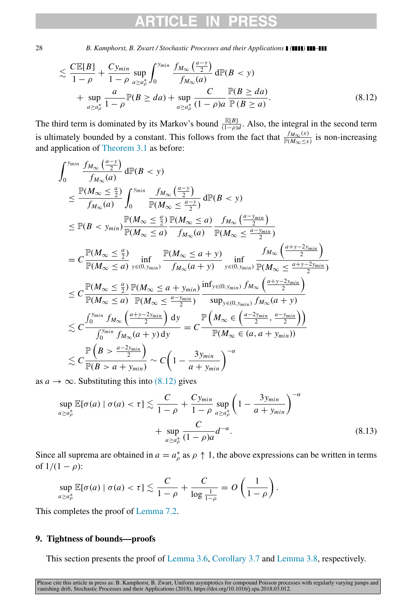# CLE.

28 *B. Kamphorst, B. Zwart / Stochastic Processes and their Applications* **[ (1111) 111-1** 

$$
\lesssim \frac{C \mathbb{E}[B]}{1-\rho} + \frac{C y_{min}}{1-\rho} \sup_{a \ge a_p^*} \int_0^{y_{min}} \frac{f_{M_\infty}(\frac{a-y}{2})}{f_{M_\infty}(a)} d\mathbb{P}(B < y) + \sup_{a \ge a_p^*} \frac{a}{1-\rho} \mathbb{P}(B \ge da) + \sup_{a \ge a_p^*} \frac{C}{(1-\rho)a} \frac{\mathbb{P}(B \ge da)}{\mathbb{P}(B \ge a)}.
$$
(8.12)

The third term is dominated by its Markov's bound  $\frac{\mathbb{E}[B]}{(1-\rho)d}$ . Also, the integral in the second term is ultimately bounded by a constant. This follows from the fact that  $\frac{f_{M_{\infty}}(x)}{F(M_{\infty} \leq x)}$  is non-increasing and application of [Theorem 3.1](#page-4-0) as before:

$$
\int_{0}^{y_{min}} \frac{f_{M_{\infty}}\left(\frac{a-y}{2}\right)}{f_{M_{\infty}}(a)} d\mathbb{P}(B < y)
$$
\n
$$
\leq \frac{\mathbb{P}(M_{\infty} \leq \frac{a}{2})}{f_{M_{\infty}}(a)} \int_{0}^{y_{min}} \frac{f_{M_{\infty}}\left(\frac{a-y}{2}\right)}{\mathbb{P}(M_{\infty} \leq \frac{a-y}{2})} d\mathbb{P}(B < y)
$$
\n
$$
\leq \mathbb{P}(B < y_{min}) \frac{\mathbb{P}(M_{\infty} \leq \frac{a}{2})}{\mathbb{P}(M_{\infty} \leq a)} \frac{f_{M_{\infty}}\left(\frac{a-y_{min}}{2}\right)}{f_{M_{\infty}}(a)} \frac{f_{M_{\infty}}\left(\frac{a-y_{min}}{2}\right)}{\mathbb{P}(M_{\infty} \leq \frac{a-y_{min}}{2})}
$$
\n
$$
= C \frac{\mathbb{P}(M_{\infty} \leq \frac{a}{2})}{\mathbb{P}(M_{\infty} \leq a)} \inf_{y \in (0, y_{min})} \frac{\mathbb{P}(M_{\infty} \leq a+y)}{f_{M_{\infty}}(a+y)} \inf_{y \in (0, y_{min})} \frac{f_{M_{\infty}}\left(\frac{a+y-2y_{min}}{2}\right)}{\mathbb{P}(M_{\infty} \leq \frac{a+y-2y_{min}}{2})}
$$
\n
$$
\leq C \frac{\mathbb{P}(M_{\infty} \leq \frac{a}{2})}{\mathbb{P}(M_{\infty} \leq a)} \frac{\mathbb{P}(M_{\infty} \leq a+y_{min})}{\mathbb{P}(M_{\infty} \leq \frac{a-y_{min}}{2})} \frac{\inf_{y \in (0, y_{min})} f_{M_{\infty}}\left(\frac{a+y-2y_{min}}{2}\right)}{\sup_{y \in (0, y_{min})} f_{M_{\infty}}(a+y)} \times C \frac{\int_{0}^{y_{min}} f_{M_{\infty}}\left(\frac{a+y-2y_{min}}{2}\right)}{\int_{0}^{y_{min}} f_{M_{\infty}}(a+y) dy} = C \frac{\mathbb{P}\left(M_{\infty} \in \left(\frac
$$

as  $a \rightarrow \infty$ . Substituting this into [\(8.12\)](#page-26-1) gives

$$
\sup_{a \ge a_{\rho}^{*}} \mathbb{E}[\sigma(a) \mid \sigma(a) < \tau] \lesssim \frac{C}{1 - \rho} + \frac{C y_{\min}}{1 - \rho} \sup_{a \ge a_{\rho}^{*}} \left( 1 - \frac{3 y_{\min}}{a + y_{\min}} \right)^{-\alpha} + \sup_{a \ge a_{\rho}^{*}} \frac{C}{(1 - \rho)a} d^{-\alpha}.
$$
\n
$$
(8.13)
$$

Since all suprema are obtained in  $a = a_{\rho}^*$  as  $\rho \uparrow 1$ , the above expressions can be written in terms of  $1/(1 - \rho)$ :

$$
\sup_{a\geq a_p^*}\mathbb{E}[\sigma(a)\mid \sigma(a)<\tau]\lesssim \frac{C}{1-\rho}+\frac{C}{\log\frac{1}{1-\rho}}=O\left(\frac{1}{1-\rho}\right).
$$

<span id="page-27-0"></span>This completes the proof of [Lemma 7.2.](#page-21-1)

## 9. Tightness of bounds—proofs

This section presents the proof of [Lemma 3.6,](#page-6-2) [Corollary 3.7](#page-6-1) and [Lemma 3.8,](#page-7-0) respectively.

Please cite this article in press as: B. Kamphorst, B. Zwart, Uniform asymptotics for compound Poisson processes with regularly varying jumps and<br>vanishing drift, Stochastic Processes and their Applications (2018), https:/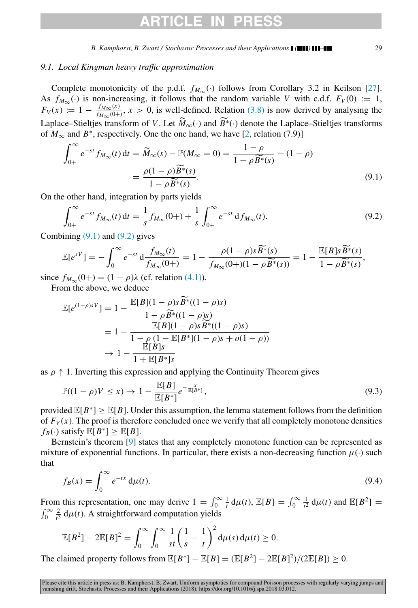# **RTICLE**

## *9.1. Local Kingman heavy traffic approximation*

Complete monotonicity of the p.d.f.  $f_{M_{\infty}}(\cdot)$  follows from Corollary 3.2 in Keilson [\[27\]](#page-30-25). As  $f_{M_{\infty}}(\cdot)$  is non-increasing, it follows that the random variable *V* with c.d.f.  $F_V(0) := 1$ ,  $F_V(x) := 1 - \frac{f_{M_{\infty}}(x)}{f_{M_{\infty}}(0+1)}$  $f_{M_{\infty}(0+)}^{M_{\infty}(0)}$ ,  $x > 0$ , is well-defined. Relation [\(3.8\)](#page-6-3) is now derived by analysing the Laplace–Stieltjes transform of *V*. Let  $\tilde{M}_{\infty}(\cdot)$  and  $\tilde{B}^*(\cdot)$  denote the Laplace–Stieltjes transforms of  $M_{\infty}$  and  $B^*$ , respectively. One the one hand, we have [\[2,](#page-30-26) relation (7.9)]

<span id="page-28-0"></span>
$$
\int_{0+}^{\infty} e^{-st} f_{M_{\infty}}(t) dt = \widetilde{M}_{\infty}(s) - \mathbb{P}(M_{\infty} = 0) = \frac{1 - \rho}{1 - \rho \widetilde{B}^*(s)} - (1 - \rho)
$$

$$
= \frac{\rho(1 - \rho) \widetilde{B}^*(s)}{1 - \rho \widetilde{B}^*(s)}.
$$
(9.1)

On the other hand, integration by parts yields

<span id="page-28-1"></span>
$$
\int_{0+}^{\infty} e^{-st} f_{M_{\infty}}(t) dt = \frac{1}{s} f_{M_{\infty}}(0+) + \frac{1}{s} \int_{0+}^{\infty} e^{-st} df_{M_{\infty}}(t).
$$
\n(9.2)

Combining  $(9.1)$  and  $(9.2)$  gives

$$
\mathbb{E}[e^{sV}] = -\int_0^\infty e^{-st} \, \mathrm{d} \frac{f_{M_\infty}(t)}{f_{M_\infty}(0+)} = 1 - \frac{\rho(1-\rho)s\widetilde{B^*}(s)}{f_{M_\infty}(0+)(1-\rho\widetilde{B^*}(s))} = 1 - \frac{\mathbb{E}[B]s\widetilde{B^*}(s)}{1-\rho\widetilde{B^*}(s)},
$$

since  $f_{M_{\infty}}(0+) = (1 - \rho)\lambda$  (cf. relation [\(4.1\)\)](#page-7-4). From the above, we deduce

$$
\mathbb{E}[e^{(1-\rho)sV}] = 1 - \frac{\mathbb{E}[B](1-\rho)s\widetilde{B}^*((1-\rho)s)}{1-\rho\widetilde{B}^*((1-\rho)s)}
$$
  
=  $1 - \frac{\mathbb{E}[B](1-\rho)s\widetilde{B}^*((1-\rho)s)}{1-\rho(1-\mathbb{E}[B^*](1-\rho)s + o(1-\rho))}$   
 $\rightarrow 1 - \frac{\mathbb{E}[B]s}{1+\mathbb{E}[B^*]s}$ 

as  $\rho \uparrow 1$ . Inverting this expression and applying the Continuity Theorem gives

$$
\mathbb{P}((1-\rho)V \leq x) \to 1 - \frac{\mathbb{E}[B]}{\mathbb{E}[B^*]}e^{-\frac{x}{\mathbb{E}[B^*]}},\tag{9.3}
$$

provided  $\mathbb{E}[B^*] \geq \mathbb{E}[B]$ . Under this assumption, the lemma statement follows from the definition of  $F_V(x)$ . The proof is therefore concluded once we verify that all completely monotone densities  $f_B(\cdot)$  satisfy  $\mathbb{E}[B^*] \geq \mathbb{E}[B].$ 

Bernstein's theorem [\[9\]](#page-30-27) states that any completely monotone function can be represented as mixture of exponential functions. In particular, there exists a non-decreasing function  $\mu(\cdot)$  such that

$$
f_B(x) = \int_0^\infty e^{-tx} \, \mathrm{d}\mu(t). \tag{9.4}
$$

From this representation, one may derive  $1 = \int_0^\infty \frac{1}{t} d\mu(t)$ ,  $\mathbb{E}[B] = \int_0^\infty \frac{1}{t^2} d\mu(t)$  $\frac{1}{t^2} d\mu(t)$  and  $\mathbb{E}[B^2] =$  $\int_0^\infty \frac{2}{t^3}$  $\frac{2}{t^3} d\mu(t)$ . A straightforward computation yields

$$
\mathbb{E}[B^2] - 2\mathbb{E}[B]^2 = \int_0^\infty \int_0^\infty \frac{1}{st} \left(\frac{1}{s} - \frac{1}{t}\right)^2 d\mu(s) d\mu(t) \ge 0.
$$

The claimed property follows from  $\mathbb{E}[B^*] - \mathbb{E}[B] = (\mathbb{E}[B^2] - 2\mathbb{E}[B]^2)/(2\mathbb{E}[B]) \ge 0$ .

Please cite this article in press as: B. Kamphorst, B. Zwart, Uniform asymptotics for compound Poisson processes with regularly varying jumps and vanishing drift, Stochastic Processes and their Applications (2018), https://doi.org/10.1016/j.spa.2018.03.012.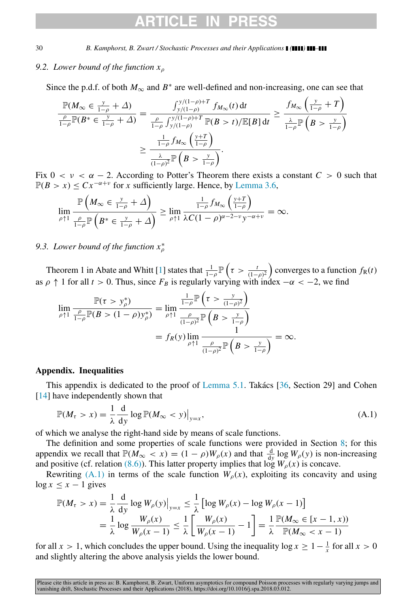## *9.2. Lower bound of the function x*<sup>ρ</sup>

Since the p.d.f. of both  $M_{\infty}$  and  $B^*$  are well-defined and non-increasing, one can see that

$$
\frac{\mathbb{P}(M_{\infty} \in \frac{y}{1-\rho} + \Delta)}{\frac{\rho}{1-\rho}\mathbb{P}(B^* \in \frac{y}{1-\rho} + \Delta)} = \frac{\int_{y/(1-\rho)+T}^{y/(1-\rho)+T} f_{M_{\infty}}(t) dt}{\frac{\rho}{1-\rho}\int_{y/(1-\rho)}^{y/(1-\rho)+T} \mathbb{P}(B > t) / \mathbb{E}[B] dt} \ge \frac{\int_{M_{\infty}} \left(\frac{y}{1-\rho} + T\right)}{\frac{\lambda}{1-\rho}\mathbb{P}\left(B > \frac{y}{1-\rho}\right)} \ge \frac{\frac{1}{1-\rho} f_{M_{\infty}}\left(\frac{y+T}{1-\rho}\right)}{\frac{\lambda}{(1-\rho)^2}\mathbb{P}\left(B > \frac{y}{1-\rho}\right)}.
$$

Fix  $0 < v < \alpha - 2$ . According to Potter's Theorem there exists a constant  $C > 0$  such that  $\mathbb{P}(B > x) \leq C x^{-\alpha + \nu}$  for *x* sufficiently large. Hence, by [Lemma 3.6,](#page-6-2)

$$
\lim_{\rho \uparrow 1} \frac{\mathbb{P}\left(M_{\infty} \in \frac{y}{1-\rho} + \Delta\right)}{\frac{\rho}{1-\rho} \mathbb{P}\left(B^* \in \frac{y}{1-\rho} + \Delta\right)} \ge \lim_{\rho \uparrow 1} \frac{\frac{1}{1-\rho} f_{M_{\infty}}\left(\frac{y+T}{1-\rho}\right)}{\lambda C (1-\rho)^{\alpha-2-\nu} y^{-\alpha+\nu}} = \infty.
$$

## *9.3. Lower bound of the function x*<sup>∗</sup> ρ

Theorem 1 in Abate and Whitt [\[1\]](#page-30-28) states that  $\frac{1}{1-\rho}$   $\mathbb{P}\left(\tau > \frac{t}{(1-\rho)^2}\right)$  converges to a function  $f_R(t)$ as  $\rho \uparrow 1$  for all  $t > 0$ . Thus, since  $F_B$  is regularly varying with index  $-\alpha < -2$ , we find

$$
\lim_{\rho \uparrow 1} \frac{\mathbb{P}(\tau > y_{\rho}^{*})}{\frac{\rho}{1-\rho} \mathbb{P}(B > (1-\rho)y_{\rho}^{*})} = \lim_{\rho \uparrow 1} \frac{\frac{1}{1-\rho} \mathbb{P}\left(\tau > \frac{y}{(1-\rho)^{2}}\right)}{\frac{\rho}{(1-\rho)^{2}} \mathbb{P}\left(B > \frac{y}{1-\rho}\right)}
$$
\n
$$
= f_{R}(y) \lim_{\rho \uparrow 1} \frac{1}{\frac{\rho}{(1-\rho)^{2}} \mathbb{P}\left(B > \frac{y}{1-\rho}\right)} = \infty.
$$

### <span id="page-29-0"></span>Appendix. Inequalities

This appendix is dedicated to the proof of [Lemma 5.1.](#page-12-0) Takacs  $[36,$  $[36,$  Section 29] and Cohen [\[14\]](#page-30-29) have independently shown that

<span id="page-29-1"></span>
$$
\mathbb{P}(M_{\tau} > x) = \frac{1}{\lambda} \frac{d}{dy} \log \mathbb{P}(M_{\infty} < y)|_{y=x},\tag{A.1}
$$

of which we analyse the right-hand side by means of scale functions.

The definition and some properties of scale functions were provided in Section [8;](#page-21-0) for this appendix we recall that  $\mathbb{P}(M_{\infty} < x) = (1 - \rho)W_{\rho}(x)$  and that  $\frac{d}{dy} \log W_{\rho}(y)$  is non-increasing and positive (cf. relation [\(8.6\)\)](#page-22-3). This latter property implies that  $\log W_{\rho}(x)$  is concave.

Rewriting [\(A.1\)](#page-29-1) in terms of the scale function  $W<sub>o</sub>(x)$ , exploiting its concavity and using  $\log x \leq x - 1$  gives

$$
\mathbb{P}(M_{\tau} > x) = \frac{1}{\lambda} \frac{d}{dy} \log W_{\rho}(y)|_{y=x} \le \frac{1}{\lambda} \left[ \log W_{\rho}(x) - \log W_{\rho}(x-1) \right]
$$
  
=  $\frac{1}{\lambda} \log \frac{W_{\rho}(x)}{W_{\rho}(x-1)} \le \frac{1}{\lambda} \left[ \frac{W_{\rho}(x)}{W_{\rho}(x-1)} - 1 \right] = \frac{1}{\lambda} \frac{\mathbb{P}(M_{\infty} \in [x-1, x))}{\mathbb{P}(M_{\infty} < x - 1)}$ 

for all *x* > 1, which concludes the upper bound. Using the inequality  $\log x \ge 1 - \frac{1}{x}$  for all *x* > 0 and slightly altering the above analysis yields the lower bound.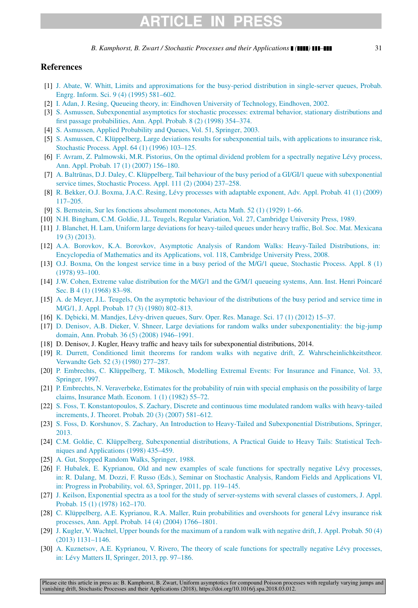# **ARTICLE IN PRESS**

*B. Kamphorst, B. Zwart / Stochastic Processes and their Applications ( ) –* 31

## References

- <span id="page-30-28"></span>[1] [J. Abate, W. Whitt, Limits and approximations for the busy-period distribution in single-server queues, Probab.](http://refhub.elsevier.com/S0304-4149(18)30053-X/sb1) [Engrg. Inform. Sci. 9 \(4\) \(1995\) 581–602.](http://refhub.elsevier.com/S0304-4149(18)30053-X/sb1)
- <span id="page-30-26"></span>[2] [I. Adan, J. Resing, Queueing theory, in: Eindhoven University of Technology, Eindhoven, 2002.](http://refhub.elsevier.com/S0304-4149(18)30053-X/sb2)
- <span id="page-30-11"></span>[3] [S. Asmussen, Subexponential asymptotics for stochastic processes: extremal behavior, stationary distributions and](http://refhub.elsevier.com/S0304-4149(18)30053-X/sb3) [first passage probabilities, Ann. Appl. Probab. 8 \(2\) \(1998\) 354–374.](http://refhub.elsevier.com/S0304-4149(18)30053-X/sb3)
- <span id="page-30-20"></span>[4] [S. Asmussen, Applied Probability and Queues, Vol. 51, Springer, 2003.](http://refhub.elsevier.com/S0304-4149(18)30053-X/sb4)
- <span id="page-30-1"></span>[5] [S. Asmussen, C. Klüppelberg, Large deviations results for subexponential tails, with applications to insurance risk,](http://refhub.elsevier.com/S0304-4149(18)30053-X/sb5) [Stochastic Process. Appl. 64 \(1\) \(1996\) 103–125.](http://refhub.elsevier.com/S0304-4149(18)30053-X/sb5)
- <span id="page-30-2"></span>[6] [F. Avram, Z. Palmowski, M.R. Pistorius, On the optimal dividend problem for a spectrally negative Lévy process,](http://refhub.elsevier.com/S0304-4149(18)30053-X/sb6) [Ann. Appl. Probab. 17 \(1\) \(2007\) 156–180.](http://refhub.elsevier.com/S0304-4149(18)30053-X/sb6)
- <span id="page-30-9"></span>[7] A. Baltrūnas, D.J. Daley, C. Klüppelberg, Tail behaviour of the busy period of a GI/GI/1 queue with subexponential [service times, Stochastic Process. Appl. 111 \(2\) \(2004\) 237–258.](http://refhub.elsevier.com/S0304-4149(18)30053-X/sb7)
- <span id="page-30-24"></span>[8] [R. Bekker, O.J. Boxma, J.A.C. Resing, Lévy processes with adaptable exponent, Adv. Appl. Probab. 41 \(1\) \(2009\)](http://refhub.elsevier.com/S0304-4149(18)30053-X/sb8) [117–205.](http://refhub.elsevier.com/S0304-4149(18)30053-X/sb8)
- <span id="page-30-27"></span>[9] [S. Bernstein, Sur les fonctions absolument monotones, Acta Math. 52 \(1\) \(1929\) 1–66.](http://refhub.elsevier.com/S0304-4149(18)30053-X/sb9)
- <span id="page-30-14"></span>[10] [N.H. Bingham, C.M. Goldie, J.L. Teugels, Regular Variation, Vol. 27, Cambridge University Press, 1989.](http://refhub.elsevier.com/S0304-4149(18)30053-X/sb10)
- <span id="page-30-6"></span>[\[](http://refhub.elsevier.com/S0304-4149(18)30053-X/sb11)11] [J. Blanchet, H. Lam, Uniform large deviations for heavy-tailed queues under heavy traffic, Bol. Soc. Mat. Mexicana](http://refhub.elsevier.com/S0304-4149(18)30053-X/sb11) [19 \(3\) \(2013\).](http://refhub.elsevier.com/S0304-4149(18)30053-X/sb11)
- <span id="page-30-17"></span>[\[](http://refhub.elsevier.com/S0304-4149(18)30053-X/sb12)12] [A.A. Borovkov, K.A. Borovkov, Asymptotic Analysis of Random Walks: Heavy-Tailed Distributions, in:](http://refhub.elsevier.com/S0304-4149(18)30053-X/sb12) [Encyclopedia of Mathematics and its Applications, vol. 118, Cambridge University Press, 2008.](http://refhub.elsevier.com/S0304-4149(18)30053-X/sb12)
- <span id="page-30-21"></span>[\[](http://refhub.elsevier.com/S0304-4149(18)30053-X/sb13)13] [O.J. Boxma, On the longest service time in a busy period of the M/G/1 queue, Stochastic Process. Appl. 8 \(1\)](http://refhub.elsevier.com/S0304-4149(18)30053-X/sb13) [\(1978\) 93–100.](http://refhub.elsevier.com/S0304-4149(18)30053-X/sb13)
- <span id="page-30-29"></span>[\[](http://refhub.elsevier.com/S0304-4149(18)30053-X/sb14)14] [J.W. Cohen, Extreme value distribution for the M/G/1 and the G/M/1 queueing systems, Ann. Inst. Henri Poincaré](http://refhub.elsevier.com/S0304-4149(18)30053-X/sb14) [Sec. B 4 \(1\) \(1968\) 83–98.](http://refhub.elsevier.com/S0304-4149(18)30053-X/sb14)
- <span id="page-30-10"></span>[\[](http://refhub.elsevier.com/S0304-4149(18)30053-X/sb15)15] [A. de Meyer, J.L. Teugels, On the asymptotic behaviour of the distributions of the busy period and service time in](http://refhub.elsevier.com/S0304-4149(18)30053-X/sb15) [M/G/1, J. Appl. Probab. 17 \(3\) \(1980\) 802–813.](http://refhub.elsevier.com/S0304-4149(18)30053-X/sb15)
- <span id="page-30-0"></span>[16] [K. D˛ebicki, M. Mandjes, Lévy-driven queues, Surv. Oper. Res. Manage. Sci. 17 \(1\) \(2012\) 15–37.](http://refhub.elsevier.com/S0304-4149(18)30053-X/sb16)
- <span id="page-30-18"></span>[\[](http://refhub.elsevier.com/S0304-4149(18)30053-X/sb17)17] [D. Denisov, A.B. Dieker, V. Shneer, Large deviations for random walks under subexponentiality: the big-jump](http://refhub.elsevier.com/S0304-4149(18)30053-X/sb17) [domain, Ann. Probab. 36 \(5\) \(2008\) 1946–1991.](http://refhub.elsevier.com/S0304-4149(18)30053-X/sb17)
- <span id="page-30-7"></span>[18] D. Denisov, J. Kugler, Heavy traffic and heavy tails for subexponential distributions, 2014.
- <span id="page-30-19"></span>[\[](http://refhub.elsevier.com/S0304-4149(18)30053-X/sb19)19] [R. Durrett, Conditioned limit theorems for random walks with negative drift, Z. Wahrscheinlichkeitstheor.](http://refhub.elsevier.com/S0304-4149(18)30053-X/sb19) [Verwandte Geb. 52 \(3\) \(1980\) 277–287.](http://refhub.elsevier.com/S0304-4149(18)30053-X/sb19)
- <span id="page-30-22"></span>[\[](http://refhub.elsevier.com/S0304-4149(18)30053-X/sb20)20] [P. Embrechts, C. Klüppelberg, T. Mikosch, Modelling Extremal Events: For Insurance and Finance, Vol. 33,](http://refhub.elsevier.com/S0304-4149(18)30053-X/sb20) [Springer, 1997.](http://refhub.elsevier.com/S0304-4149(18)30053-X/sb20)
- <span id="page-30-3"></span>[\[](http://refhub.elsevier.com/S0304-4149(18)30053-X/sb21)21] [P. Embrechts, N. Veraverbeke, Estimates for the probability of ruin with special emphasis on the possibility of large](http://refhub.elsevier.com/S0304-4149(18)30053-X/sb21) [claims, Insurance Math. Econom. 1 \(1\) \(1982\) 55–72.](http://refhub.elsevier.com/S0304-4149(18)30053-X/sb21)
- <span id="page-30-4"></span>[\[](http://refhub.elsevier.com/S0304-4149(18)30053-X/sb22)22] [S. Foss, T. Konstantopoulos, S. Zachary, Discrete and continuous time modulated random walks with heavy-tailed](http://refhub.elsevier.com/S0304-4149(18)30053-X/sb22) [increments, J. Theoret. Probab. 20 \(3\) \(2007\) 581–612.](http://refhub.elsevier.com/S0304-4149(18)30053-X/sb22)
- <span id="page-30-16"></span>[\[](http://refhub.elsevier.com/S0304-4149(18)30053-X/sb23)23] [S. Foss, D. Korshunov, S. Zachary, An Introduction to Heavy-Tailed and Subexponential Distributions, Springer,](http://refhub.elsevier.com/S0304-4149(18)30053-X/sb23) [2013.](http://refhub.elsevier.com/S0304-4149(18)30053-X/sb23)
- <span id="page-30-15"></span>[\[](http://refhub.elsevier.com/S0304-4149(18)30053-X/sb24)24] [C.M. Goldie, C. Klüppelberg, Subexponential distributions, A Practical Guide to Heavy Tails: Statistical Tech](http://refhub.elsevier.com/S0304-4149(18)30053-X/sb24)[niques and Applications \(1998\) 435–459.](http://refhub.elsevier.com/S0304-4149(18)30053-X/sb24)
- <span id="page-30-23"></span>[25] [A. Gut, Stopped Random Walks, Springer, 1988.](http://refhub.elsevier.com/S0304-4149(18)30053-X/sb25)
- <span id="page-30-13"></span>[\[](http://refhub.elsevier.com/S0304-4149(18)30053-X/sb26)26] [F. Hubalek, E. Kyprianou, Old and new examples of scale functions for spectrally negative Levy processes,](http://refhub.elsevier.com/S0304-4149(18)30053-X/sb26) ´ [in: R. Dalang, M. Dozzi, F. Russo \(Eds.\), Seminar on Stochastic Analysis, Random Fields and Applications VI,](http://refhub.elsevier.com/S0304-4149(18)30053-X/sb26) [in: Progress in Probability, vol. 63, Springer, 2011, pp. 119–145.](http://refhub.elsevier.com/S0304-4149(18)30053-X/sb26)
- <span id="page-30-25"></span>[\[](http://refhub.elsevier.com/S0304-4149(18)30053-X/sb27)27] [J. Keilson, Exponential spectra as a tool for the study of server-systems with several classes of customers, J. Appl.](http://refhub.elsevier.com/S0304-4149(18)30053-X/sb27) [Probab. 15 \(1\) \(1978\) 162–170.](http://refhub.elsevier.com/S0304-4149(18)30053-X/sb27)
- <span id="page-30-5"></span>[\[](http://refhub.elsevier.com/S0304-4149(18)30053-X/sb28)28] C. Klüppelberg, A.E. Kyprianou, R.A. Maller, Ruin probabilities and overshoots for general Lévy insurance risk [processes, Ann. Appl. Probab. 14 \(4\) \(2004\) 1766–1801.](http://refhub.elsevier.com/S0304-4149(18)30053-X/sb28)
- <span id="page-30-8"></span>[\[](http://refhub.elsevier.com/S0304-4149(18)30053-X/sb29)29] [J. Kugler, V. Wachtel, Upper bounds for the maximum of a random walk with negative drift, J. Appl. Probab. 50 \(4\)](http://refhub.elsevier.com/S0304-4149(18)30053-X/sb29) [\(2013\) 1131–1146.](http://refhub.elsevier.com/S0304-4149(18)30053-X/sb29)
- <span id="page-30-12"></span>[\[](http://refhub.elsevier.com/S0304-4149(18)30053-X/sb30)30] A. Kuznetsov, A.E. Kyprianou, V. Rivero, The theory of scale functions for spectrally negative Lévy processes, in: Lévy Matters II, Springer, 2013, pp. 97–186.